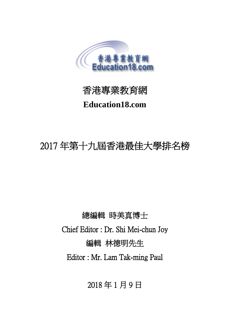



# **Education18.com**

# 2017 年第十九屆香港最佳大學排名榜

總編輯 時美真博士 Chief Editor : Dr. Shi Mei-chun Joy 編輯 林德明先生 Editor : Mr. Lam Tak-ming Paul

2018 年 1 月 9 日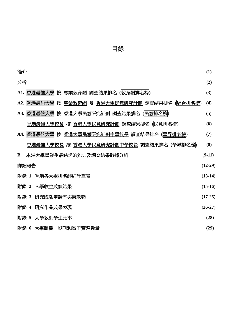| 簡介                                                           | (1)       |
|--------------------------------------------------------------|-----------|
| 分析                                                           | (2)       |
| A1. 香港最佳大學 按 專業教育網 調査結果排名 (教育網排名榜)                           | (3)       |
| A2. 香港最佳大學 按 <u>專業教育網</u> 及 <u>香港大學民意研究計劃</u> 調查結果排名 (綜合排名榜) | (4)       |
| A3. 香港最佳大學 按 香港大學民意研究計劃 調査結果排名 (民意排名榜)                       | (5)       |
| <u>香港最佳大學校長</u> 按 <u>香港大學民意研究計劃</u> 調查結果排名 ( <u>民意排名榜</u> )  | (6)       |
| A4. 香港最佳大學 按 香港大學民意研究計劃中學校長 調査結果排名 (學界排名榜)                   | (7)       |
| <u>香港最佳大學校長</u> 按 香港大學民意研究計劃中學校長 調査結果排名 ( <u>學界排名榜</u> )     | (8)       |
| 本港大學畢業生最缺乏的能力及調査結果數據分析<br><b>B.</b>                          | $(9-11)$  |
| 詳細報告                                                         | $(12-29)$ |
| 附錄 1 香港各大學排名詳細計算表                                            | $(13-14)$ |
| 附錄 2 入學收生成績結果                                                | $(15-16)$ |
| 研究成功申請率與撥款額<br>附錄 3                                          | $(17-25)$ |
| 附錄 4 研究作品成果表現                                                | $(26-27)$ |
| 附錄 5 大學教師學生比率                                                | (28)      |
| 附錄 6 大學圖書、期刊和電子資源數量                                          | (29)      |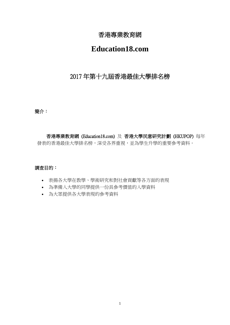## 香港專業教育網

# **Education18.com**

## 2017 年第十九屆香港最佳大學排名榜

#### 簡介:

香港專業教育網 (Education18.com) 及 香港大學民意研究計劃 (HKUPOP) 每年 發表的香港最佳大學排名榜,深受各界重視,並為學生升學的重要參考資料。

#### 調查目的:

- 表揚各大學在教學、學術研究和對社會貢獻等各方面的表現
- 為準備入大學的同學提供一份具參考價值的入學資料
- 為大眾提供各大學表現的參考資料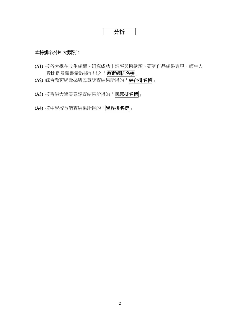$$
\fbox{3.5cm}
$$

#### 本榜排名分四大類別:

- (A1) 按各大學在收生成績、研究成功申請率與撥款額、研究作品成果表現、師生人 數比例及藏書量數據作出之「<mark>教育網排名榜</mark>」
- (A2) 綜合教育網數據與民意調查結果所得的「綜合排名榜」
- (A3) 按香港大學民意調查結果所得的「民意排名榜」
- (A4) 按中學校長調查結果所得的「學界排名榜」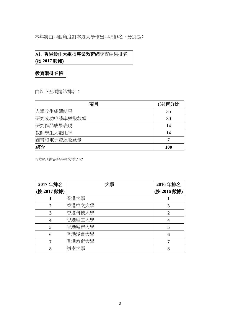本年將由四個角度對本港大學作出四項排名,分別是:

A1. 香港最佳大學按專業教育網調查結果排名 (按 **2017** 數據)

教育網排名榜

由以下五項總結排名:

| 項目          | (%)百分比     |
|-------------|------------|
| 入學收生成績結果    | 35         |
| 研究成功申請率與撥款額 | 30         |
| 研究作品成果表現    | 14         |
| 教師學生人數比率    | 14         |
| 圖書和電子資源收藏量  |            |
| 總分          | <b>100</b> |

\*詳細分數資料列於附件 I-VI

| 2017年排名     | 大學     | 2016年排名     |
|-------------|--------|-------------|
| (按 2017 數據) |        | (按 2016 數據) |
|             | 香港大學   |             |
| 2           | 香港中文大學 | 3           |
| 3           | 香港科技大學 | 2           |
|             | 香港理工大學 | 4           |
| 5           | 香港城市大學 | 5           |
| 6           | 香港浸會大學 | 6           |
|             | 香港教育大學 |             |
| 8           | 嶺南大學   | 8           |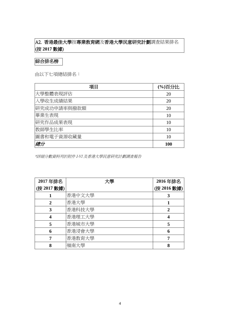## A2. 香港最佳大學按專業教育網及香港大學民意研究計劃調查結果排名 (按 **2017** 數據)

綜合排名榜

由以下七項總結排名:

| 項目          | (%)百分比     |
|-------------|------------|
| 大學整體表現評估    | 20         |
| 入學收生成績結果    | 20         |
| 研究成功申請率與撥款額 | 20         |
| 畢業生表現       | 10         |
| 研究作品成果表現    | 10         |
| 教師學生比率      | 10         |
| 圖書和電子資源收藏量  | 10         |
| 總分          | <b>100</b> |

\*詳細分數資料列於附件 I-VI 及香港大學民意研究計劃調查報告

| 2017年排名     | 大學     | 2016年排名     |
|-------------|--------|-------------|
| (按 2017 數據) |        | (按 2016 數據) |
|             | 香港中文大學 | 3           |
| 2           | 香港大學   |             |
| 3           | 香港科技大學 | $\mathbf 2$ |
|             | 香港理工大學 | 4           |
| 5           | 香港城市大學 | 5           |
| 6           | 香港浸會大學 | 6           |
|             | 香港教育大學 |             |
| 8           | 嶺南大學   | 8           |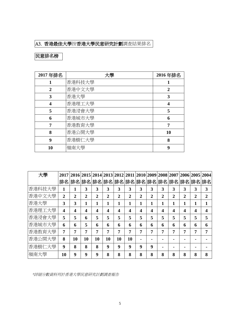## A3. 香港最佳大學按香港大學民意研究計劃調查結果排名

## 民意排名榜

| 2017年排名 | 大學     | 2016年排名      |
|---------|--------|--------------|
|         | 香港科技大學 |              |
| 2       | 香港中文大學 | $\mathbf{2}$ |
| 3       | 香港大學   | 3            |
| 4       | 香港理工大學 | 4            |
| 5       | 香港浸會大學 | 5            |
| 6       | 香港城市大學 | 6            |
| 7       | 香港教育大學 | 7            |
| 8       | 香港公開大學 | 10           |
| 9       | 香港樹仁大學 | 8            |
| 10      | 嶺南大學   | 9            |

| 大學     |                         |    | 2017 2016 2015 2014 2013 2012 2011 2010 2009 2008 2007 2006 2005 2004 |    |                  |                |                |   |   |   |   |                |   |   |
|--------|-------------------------|----|-----------------------------------------------------------------------|----|------------------|----------------|----------------|---|---|---|---|----------------|---|---|
|        | 排名                      |    | 排名 排名 排名 排名 排名 排名 排名 排名 排名 排名 排名 排名                                   |    |                  |                |                |   |   |   |   |                |   |   |
| 香港科技大學 | 1                       |    | 3                                                                     | 3  | 3                | 3              | 3              | 3 | 3 | 3 | 3 | 3              | 3 | 3 |
| 香港中文大學 | 2                       | 2  | $\overline{2}$                                                        | 2  | $\overline{2}$   | $\overline{2}$ | $\overline{2}$ | 2 | 2 | 2 | 2 | $\overline{2}$ | 2 | 2 |
| 香港大學   | 3                       | 3  | 1                                                                     | 1  | 1                |                | 1              | 1 | 1 | 1 | 1 | 1              | 1 | 1 |
| 香港理工大學 | $\overline{\mathbf{4}}$ | 4  | 4                                                                     | 4  | $\boldsymbol{4}$ | 4              | 4              | 4 | 4 | 4 | 4 | 4              | 4 |   |
| 香港浸會大學 | 5                       | 5  | 6                                                                     | 5  | 5                | 5              | 5              | 5 | 5 | 5 | 5 | 5              | 5 | 5 |
| 香港城市大學 | 6                       | 6  | 5                                                                     | 6  | 6                | 6              | 6              | 6 | 6 | 6 | 6 | 6              | 6 | 6 |
| 香港教育大學 | 7                       | 7  | 7                                                                     | 7  | 7                | 7              | 7              | 7 | 7 | 7 | 7 | 7              | 7 | 7 |
| 香港公開大學 | 8                       | 10 | 10                                                                    | 10 | 10               | 10             | 10             |   |   |   |   |                |   |   |
| 香港樹仁大學 | $\boldsymbol{9}$        | 8  | 8                                                                     | 8  | 9                | 9              | 9              | 9 | 9 |   |   |                |   |   |
| 嶺南大學   | 10                      | 9  | 9                                                                     | 9  | 8                | 8              | 8              | 8 | 8 | 8 | 8 | 8              | 8 | 8 |

\*詳細分數資料列於香港大學民意研究計劃調查報告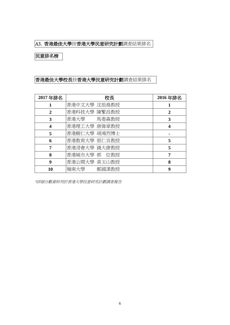## A3. 香港最佳大學按香港大學民意研究計劃調查結果排名

## 民意排名榜

## 香港最佳大學校長按香港大學民意研究計劃調查結果排名

| 2017年排名 | 校長           | 2016年排名 |
|---------|--------------|---------|
| 1       | 香港中文大學 沈祖堯教授 |         |
| 2       | 香港科技大學 陳繁昌教授 | 2       |
| 3       | 香港大學 馬斐森教授   | 3       |
| 4       | 香港理工大學 唐偉章教授 | 4       |
| 5       | 香港樹仁大學 胡鴻烈博士 |         |
| 6       | 香港教育大學 張仁良教授 | 5       |
| 7       | 香港浸會大學 錢大康教授 | 5       |
| 8       | 香港城市大學 郭 位教授 | 7       |
| 9       | 香港公開大學 黃玉山教授 | 8       |
| 10      | 嶺南大學 鄭國漢教授   | 9       |

\*詳細分數資料列於香港大學民意研究計劃調查報告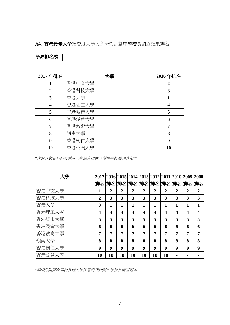## A4. 香港最佳大學按香港大學民意研究計劃中學校長調查結果排名

## 學界排名榜

| 2017年排名 | 大學     | 2016年排名 |
|---------|--------|---------|
|         | 香港中文大學 | 2       |
| 2       | 香港科技大學 | 3       |
| 3       | 香港大學   |         |
| 4       | 香港理工大學 | 4       |
| 5       | 香港城市大學 | 5       |
| 6       | 香港浸會大學 | 6       |
|         | 香港教育大學 | 7       |
| 8       | 嶺南大學   | 8       |
| 9       | 香港樹仁大學 | 9       |
| 10      | 香港公開大學 | 10      |

*\**詳細分數資料列於香港大學民意研究計劃中學校長調查報告

| 大學     |                |                | 2017 2016 2015 2014 2013 2012 2011 2010 2009 2008 |                |                |                |                |                  |                |                |
|--------|----------------|----------------|---------------------------------------------------|----------------|----------------|----------------|----------------|------------------|----------------|----------------|
|        |                |                | 排名 排名 排名 排名 排名 排名 排名 排名 排名                        |                |                |                |                |                  |                |                |
| 香港中文大學 | 1              | $\overline{2}$ | $\overline{2}$                                    | $\overline{2}$ | $\overline{2}$ | $\overline{2}$ | $\overline{2}$ | $\overline{2}$   | $\overline{2}$ | $\overline{2}$ |
| 香港科技大學 | $\overline{2}$ | 3              | 3                                                 | 3              | 3              | 3              | 3              | 3                | 3              | 3              |
| 香港大學   | 3              | 1              | 1                                                 | 1              | 1              | 1              | 1              | 1                | 1              |                |
| 香港理工大學 | 4              | 4              | 4                                                 | 4              | 4              | 4              | 4              | $\boldsymbol{4}$ | 4              | 4              |
| 香港城市大學 | 5              | 5              | 5                                                 | 5              | 5              | 5              | 5              | 5                | 5              | 5              |
| 香港浸會大學 | 6              | 6              | 6                                                 | 6              | 6              | 6              | 6              | 6                | 6              | 6              |
| 香港教育大學 | 7              | 7              | 7                                                 | 7              | 7              | 7              | 7              | 7                | 7              | 7              |
| 嶺南大學   | 8              | 8              | 8                                                 | 8              | 8              | 8              | 8              | 8                | 8              | 8              |
| 香港樹仁大學 | 9              | 9              | 9                                                 | 9              | 9              | 9              | 9              | 9                | 9              | 9              |
| 香港公開大學 | 10             | 10             | 10                                                | 10             | 10             | 10             | 10             |                  |                |                |

*\**詳細分數資料列於香港大學民意研究計劃中學校長調查報告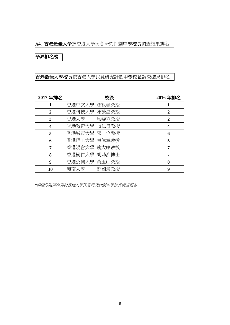#### A4. 香港最佳大學按香港大學民意研究計劃中學校長調查結果排名

### 學界排名榜

## 香港最佳大學校長按香港大學民意研究計劃中學校長調查結果排名

| 2017年排名      | 校長           | 2016年排名        |
|--------------|--------------|----------------|
|              | 香港中文大學 沈祖堯教授 |                |
| $\mathbf{2}$ | 香港科技大學 陳繁昌教授 | $\mathbf{2}$   |
| 3            | 香港大學 馬斐森教授   | $\overline{2}$ |
| 4            | 香港教育大學 張仁良教授 | 4              |
| 5            | 香港城市大學 郭 位教授 | 6              |
| 6            | 香港理工大學 唐偉章教授 | 5              |
| 7            | 香港浸會大學 錢大康教授 | 7              |
| 8            | 香港樹仁大學 胡鴻烈博士 |                |
| 9            | 香港公開大學 黃玉山教授 | 8              |
| 10           | 嶺南大學 鄭國漢教授   | 9              |

*\**詳細分數資料列於香港大學民意研究計劃中學校長調查報告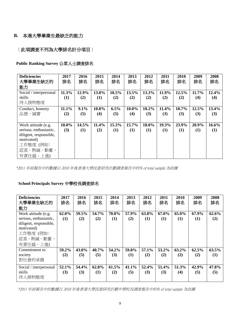### **B.** 本港大學畢業生最缺乏的能力

(此項調查不列為大學排名計分項目)

**Public Ranking Survey** 公眾人士調查排名

| <b>Deficiencies</b>    | 2017       | 2016  | 2015  | 2014  | 2013  | 2012  | 2011  | 2010  | 2009  | 2008  |
|------------------------|------------|-------|-------|-------|-------|-------|-------|-------|-------|-------|
| 大學畢業生缺乏的               | 排名         | 排名    | 排名    | 排名    | 排名    | 排名    | 排名    | 排名    | 排名    | 排名    |
| 能力                     |            |       |       |       |       |       |       |       |       |       |
| Social / interpersonal | 11.3%      | 12.9% | 13.8% | 10.5% | 13.5% | 13.3% | 11.9% | 12.5% | 11.7% | 12.4% |
| skills                 | <b>(1)</b> | (2)   | (1)   | (2)   | (2)   | (2)   | (2)   | (2)   | (4)   | (4)   |
| 待人接物態度                 |            |       |       |       |       |       |       |       |       |       |
| Conduct, honesty       | 11.1%      | 9.1%  | 10.8% | 6.5%  | 10.0% | 10.2% | 11.4% | 10.7% | 12.5% | 13.4% |
| 品德、誠實                  | (2)        | (5)   | (4)   | (5)   | (4)   | (3)   | (3)   | (3)   | (3)   | (3)   |
|                        |            |       |       |       |       |       |       |       |       |       |
| Work attitude (e.g.    | 10.0%      | 14.5% | 11.4% | 15.3% | 15.7% | 18.0% | 19.3% | 23.9% | 20.9% | 16.6% |
| serious, enthusiastic, | (3)        | (1)   | (2)   | (1)   | (1)   | (1)   | (1)   | (1)   | (1)   | (1)   |
| diligent, responsible, |            |       |       |       |       |       |       |       |       |       |
| motivated)             |            |       |       |       |       |       |       |       |       |       |
| 工作態度 (例如:              |            |       |       |       |       |       |       |       |       |       |
| 認真、熱誠、勤奮、              |            |       |       |       |       |       |       |       |       |       |
| 有責任感、上進)               |            |       |       |       |       |       |       |       |       |       |

\*2011 年前報告中的數據以 2010 年後香港大學民意研究計劃調查報告中的% of total sample 為依據

#### **School Principals Survey** 中學校長調查排名

| <b>Deficiencies</b><br>大學畢業生缺乏的<br>能力                                                                                       | 2017<br>排名   | 2016<br>排名   | 2015<br>排名   | 2014<br>排名   | 2013<br>排名   | 2012<br>排名   | 2011<br>排名   | 2010<br>排名      | 2009<br>排名   | 2008<br>排名   |
|-----------------------------------------------------------------------------------------------------------------------------|--------------|--------------|--------------|--------------|--------------|--------------|--------------|-----------------|--------------|--------------|
| Work attitude (e.g.<br>serious, enthusiastic,<br>diligent, responsible,<br>motivated)<br>工作態度 (例如:<br>認真、熱誠、勤奮、<br>有責任感、上進) | 62.0%<br>(1) | 59.5%<br>(2) | 54.7%<br>(2) | 70.8%<br>(1) | 57.9%<br>(2) | 63.8%<br>(1) | 67.0%<br>(1) | 65.0%<br>(1)    | 67.9%<br>(1) | 62.6%<br>(2) |
| Commitment to<br>society<br>對社會的承擔                                                                                          | 59.2%<br>(2) | 43.0%<br>(5) | 40.7%<br>(5) | 54.2%<br>(3) | 59.8%<br>(1) | 57.1%<br>(2) | 53.2%<br>(2) | $63.2\%$<br>(2) | 62.5%<br>(2) | 63.5%<br>(1) |
| Social / interpersonal<br>skills<br>待人接物態度                                                                                  | 52.1%<br>(3) | 54.4%<br>(3) | 62.8%<br>(1) | 61.5%<br>(2) | 41.1%<br>(5) | 52.4%<br>(3) | 51.4%<br>(3) | 51.3%<br>(4)    | 42.9%<br>(5) | 47.8%<br>(5) |

\*2011 年前報告中的數據以 2010 年後香港大學民意研究計劃中學校長調查報告中的% of total sample 為依據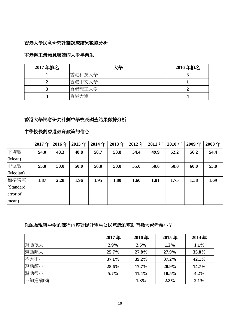#### 香港大學民意研究計劃調查結果數據分析

### 本港僱主最願意聘請的大學畢業生

| 2017年排名 | 大學     | 2016年排名 |
|---------|--------|---------|
|         | 香港科技大學 |         |
|         | 香港中文大學 |         |
|         | 香港理工大學 |         |
|         | 香港大學   |         |

#### 香港大學民意研究計劃中學校長調查結果數據分析

## 中學校長對香港教育政策的信心

|           | 2017年 | 2016年 | 2015年 | 2014年 | 2013年 | 2012年 | 2011年 | 2010年 | 2009年 | 2008年 |
|-----------|-------|-------|-------|-------|-------|-------|-------|-------|-------|-------|
| 平均數       | 54.0  | 48.3  | 48.8  | 50.7  | 53.8  | 54.4  | 49.9  | 52.2  | 56.2  | 54.4  |
| (Mean)    |       |       |       |       |       |       |       |       |       |       |
| 中位數       | 55.0  | 50.0  | 50.0  | 50.0  | 50.0  | 55.0  | 50.0  | 50.0  | 60.0  | 55.0  |
| (Median)  |       |       |       |       |       |       |       |       |       |       |
| 標準誤差      | 1.87  | 2.28  | 1.96  | 1.95  | 1.80  | 1.60  | 1.81  | 1.75  | 1.58  | 1.69  |
| (Standard |       |       |       |       |       |       |       |       |       |       |
| error of  |       |       |       |       |       |       |       |       |       |       |
| mean)     |       |       |       |       |       |       |       |       |       |       |

### 你認為現時中學的課程內容對提升學生公民意識的幫助有幾大或者幾小?

|        | 2017年   | 2016年 | 2015年    | 2014年 |
|--------|---------|-------|----------|-------|
| 幫助很大   | 2.9%    | 2.5%  | $1.2\%$  | 1.1%  |
| 幫助頗大   | 25.7%   | 27.8% | 27.9%    | 35.8% |
| 不大不小   | 37.1%   | 39.2% | 37.2%    | 42.1% |
| 幫助頗小   | 28.6%   | 17.7% | 20.9%    | 14.7% |
| 幫助很小   | $5.7\%$ | 11.4% | $10.5\%$ | 4.2%  |
| 不知道/難講 |         | 1.3%  | 2.3%     | 2.1%  |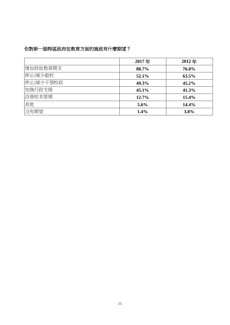## 你對新一屆特區政府在教育方面的施政有什麼期望?

|           | 2017年   | 2012年    |
|-----------|---------|----------|
| 增加投放教育開支  | 88.7%   | 76.0%    |
| 停止/減少殺校   | 52.1%   | $63.5\%$ |
| 停止/減少干預校政 | 49.3%   | $45.2\%$ |
| 加強行政支援    | 45.1%   | 41.3%    |
| 改善校本管理    | 12.7%   | 15.4%    |
| 其他        | $5.6\%$ | 14.4%    |
| 沒有期望      | 1.4%    | 3.8%     |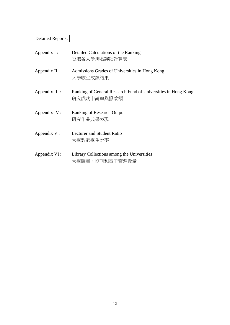# Detailed Reports:

| Appendix $I$ :  | Detailed Calculations of the Ranking<br>香港各大學排名詳細計算表                         |
|-----------------|------------------------------------------------------------------------------|
| Appendix $II$ : | Admissions Grades of Universities in Hong Kong<br>入學收生成績結果                   |
| Appendix III :  | Ranking of General Research Fund of Universities in Hong Kong<br>研究成功申請率與撥款額 |
| Appendix IV:    | <b>Ranking of Research Output</b><br>研究作品成果表現                                |
| Appendix V:     | <b>Lecturer and Student Ratio</b><br>大學教師學生比率                                |
| Appendix VI :   | Library Collections among the Universities<br>大學圖書、期刊和電子資源數量                 |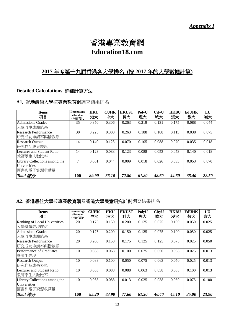# 香港專業教育網 **Education18.com**

## **2017** 年度第十九屆香港各大學排名 (按 **2017** 年的入學數據計算)

#### **Detailed Calculations** 詳細計算方法

### **A1**. 香港最佳大學按專業教育網調查結果排名

| <b>Items</b><br>項目                                          | Percentage<br>allocation<br>(%)百分比 | <b>HKU</b><br>港大 | <b>CUHK</b><br>中大 | <b>HKUST</b><br>科大 | PolyU<br>理大 | CityU<br>城大 | <b>HKBU</b><br>浸大 | EdUHK<br>教大 | LU<br>嶺大 |
|-------------------------------------------------------------|------------------------------------|------------------|-------------------|--------------------|-------------|-------------|-------------------|-------------|----------|
| <b>Admissions Grades</b><br>入學收生成績結果                        | 35                                 | 0.350            | 0.306             | 0.263              | 0.219       | 0.131       | 0.175             | 0.088       | 0.044    |
| Research Performance<br>研究成功申請率與撥款額                         | 30                                 | 0.225            | 0.300             | 0.263              | 0.188       | 0.188       | 0.113             | 0.038       | 0.075    |
| <b>Research Output</b><br>研究作品成果表現                          | 14                                 | 0.140            | 0.123             | 0.070              | 0.105       | 0.088       | 0.070             | 0.035       | 0.018    |
| Lecturer and Student Ratio<br> 教師學生人數比率                     | 14                                 | 0.123            | 0.088             | 0.123              | 0.088       | 0.053       | 0.053             | 0.140       | 0.018    |
| Library Collections among the<br>Universities<br>圖書和電子資源收藏量 | 7                                  | 0.061            | 0.044             | 0.009              | 0.018       | 0.026       | 0.035             | 0.053       | 0.070    |
| Total 總分                                                    | 100                                | 89.90            | 86.10             | 72.80              | 61.80       | 48.60       | 44.60             | 35.40       | 22.50    |

## **A2**. 香港最佳大學按專業教育網及香港大學民意研究計劃調查結果排名

| <b>Items</b><br>項目                                          | Percentage<br>allocation<br>(%)百分比 | <b>CUHK</b><br>中大 | <b>HKU</b><br>港大 | <b>HKUST</b><br>科大 | PolyU<br>理大 | <b>CityU</b><br>城大 | <b>HKBU</b><br>浸大 | <b>EdUHK</b><br>教大 | LU<br>嶺大 |
|-------------------------------------------------------------|------------------------------------|-------------------|------------------|--------------------|-------------|--------------------|-------------------|--------------------|----------|
| Ranking of Local Universities<br>大學整體表現評估                   | 20                                 | 0.175             | 0.150            | 0.200              | 0.125       | 0.075              | 0.100             | 0.050              | 0.025    |
| <b>Admissions Grades</b><br>人學收生成績結果                        | 20                                 | 0.175             | 0.200            | 0.150              | 0.125       | 0.075              | 0.100             | 0.050              | 0.025    |
| <b>Research Performance</b><br>研究成功申請率與撥款額                  | 20                                 | 0.200             | 0.150            | 0.175              | 0.125       | 0.125              | 0.075             | 0.025              | 0.050    |
| Performance of Graduates<br> 畢業生表現                          | 10                                 | 0.088             | 0.063            | 0.100              | 0.075       | 0.050              | 0.038             | 0.025              | 0.013    |
| <b>Research Output</b><br>研究作品成果表現                          | 10                                 | 0.088             | 0.100            | 0.050              | 0.075       | 0.063              | 0.050             | 0.025              | 0.013    |
| Lecturer and Student Ratio<br> 教師學生人數比率                     | 10                                 | 0.063             | 0.088            | 0.088              | 0.063       | 0.038              | 0.038             | 0.100              | 0.013    |
| Library Collections among the<br>Universities<br>圖書和電子資源收藏量 | 10                                 | 0.063             | 0.088            | 0.013              | 0.025       | 0.038              | 0.050             | 0.075              | 0.100    |
| Total 總分                                                    | 100                                | 85.20             | 83.90            | 77.60              | 61.30       | 46.40              | 45.10             | 35.00              | 23.90    |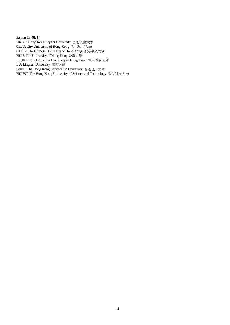#### **Remarks** 備註**:**

HKBU: Hong Kong Baptist University 香港浸會大學 CityU: City University of Hong Kong 香港城市大學 CUHK: The Chinese University of Hong Kong 香港中文大學 HKU: The University of Hong Kong 香港大學 EdUHK: The Education University of Hong Kong 香港教育大學 LU: Lingnan University 嶺南大學 PolyU: The Hong Kong Polytechnic University 香港理工大學 HKUST: The Hong Kong University of Science and Technology 香港科技大學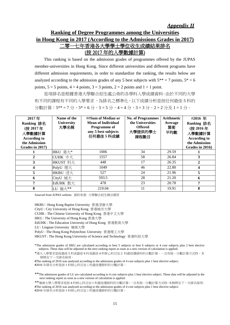*Appendix II*

## **Ranking of Degree Programmes among the Universities in Hong Kong in 2017 (According to the Admissions Grades in 2017)** 二零一七年香港各大學學士學位收生成績結果排名 (按 2017 年的入學數據計算)

This ranking is based on the admission grades of programmes offered by the JUPAS member-universities in Hong Kong. Since different universities and different programs have different admission requirements, in order to standardize the ranking, the results below are analyzed according to the admission grades of any 5 best subjects with  $5^{**} = 7$  points,  $5^* = 6$ points,  $5 = 5$  points,  $4 = 4$  points,  $3 = 3$  points,  $2 = 2$  points and  $1 = 1$  point.

是項排名是根據香港大學聯合招生處公佈的各學科入學成績資料。由於不同的大學 和不同的課程有不同的入學要求,為排名之標準化,以下成績分析是按任何最佳 5 科的 分數計算: 5\*\* = 7 分, 5\* = 6 分, 5 = 5 分, 4 = 4 分, 3 = 3 分, 2 = 2 分及 1 = 1 分。

| 2017年<br>Ranking 排名<br>(按 2017年<br>入學數據計算<br><b>According to</b><br>the Admission<br>Grades in 2017) | Name of the<br><b>University</b><br>大學名稱 | ##Sum of Median or<br><b>Mean of Individual</b><br>Programme of<br>any 5 best subjects<br>任何最佳 5 科成績 | <b>No. of Programmes</b><br>the Universities<br><b>Offered</b><br>大學提供的學士<br>課程數目 | <b>Arithmetic</b><br>Average<br>算術<br>平均數 | #2016年<br>Ranking 排名<br>(按 2016年<br>入學數據計算<br><b>According to</b><br>the Admission<br>Grades in 2016) |
|------------------------------------------------------------------------------------------------------|------------------------------------------|------------------------------------------------------------------------------------------------------|-----------------------------------------------------------------------------------|-------------------------------------------|-------------------------------------------------------------------------------------------------------|
|                                                                                                      | HKU 港大*                                  | 1006                                                                                                 | 34                                                                                | 29.59                                     |                                                                                                       |
| $\mathbf{2}$                                                                                         | CUHK 中大                                  | 1557                                                                                                 | 58                                                                                | 26.84                                     | 3                                                                                                     |
| 3                                                                                                    | HKUST 科大                                 | 448                                                                                                  | 17                                                                                | 26.35                                     | 2                                                                                                     |
| $\overline{\mathbf{4}}$                                                                              | PolyU 理大                                 | 1049                                                                                                 | 46                                                                                | 22.80                                     | 4                                                                                                     |
| 5                                                                                                    | HKBU 浸大                                  | 527                                                                                                  | 24                                                                                | 21.96                                     | 5                                                                                                     |
| 6                                                                                                    | CityU 城大                                 | 593.5                                                                                                | 28                                                                                | 21.20                                     | 6                                                                                                     |
| 7                                                                                                    | EdUHK 教大                                 | 478                                                                                                  | 23                                                                                | 20.78                                     | 7                                                                                                     |
| 8                                                                                                    | LU 嶺大**                                  | 219.04                                                                                               | 11                                                                                | 19.91                                     | 8                                                                                                     |

Sourced from JUPAS website. 資料來源: 大學聯合招生辦法網頁

HKBU : Hong Kong Baptist University 香港浸會大學 CityU : City University of Hong Kong 香港城市大學 CUHK : The Chinese University of Hong Kong 香港中文大學 HKU : The University of Hong Kong 香港大學 EdUHK : The Education University of Hong Kong 香港教育大學 LU : Lingnan University 嶺南大學 PolyU : The Hong Kong Polytechnic University 香港理工大學 HKUST : The Hong Kong University of Science and Technology 香港科技大學

\*The admission grades of HKU are calculated according to best 5 subjects or best 6 subjects or 4 core subjects plus 2 best elective subjects. These data will be adjusted in the next ranking report as soon as a new version of calculation is applied.

\*港大入學要求是按最佳 5 科或最佳 6 科或最佳 4 科核心科目加 2 科最佳選修科的分數計算。一旦有統一分數計算方式時,本 榜將在下一次排名採用。

**#**The ranking of 2016 was analyzed according to the admission grades of 4 core subjects plus 1 best elective subject. **#**2016 年排名分析是按 4 科核心科目加 1 科最佳選修科的分數計算。

\*\*The admission grades of LU are calculated according to 4 core subjects plus 1 best elective subject. These data will be adjusted in the next ranking report as soon as a new version of calculation is applied.

\*\*嶺南大學入學要求是按 4 科核心科目加 1 科最佳選修科的分數計算。一旦有統一分數計算方式時,本榜將在下一次排名採用。 **#**The ranking of 2016 was analyzed according to the admission grades of 4 core subjects plus 1 best elective subject. **#**2016 年排名分析是按 4 科核心科目加 1 科最佳選修科的分數計算。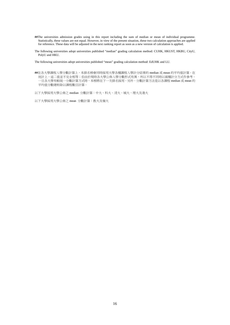- **##**The universities admission grades using in this report including the sum of median or mean of individual programme. Statistically, these values are not equal. However, in view of the present situation, these two calculation approaches are applied for reference. These data will be adjusted in the next ranking report as soon as a new version of calculation is applied.
- The following universities adopt universities published "median" grading calculation method: CUHK, HKUST, HKBU, CityU, PolyU and HKU.

The following universities adopt universities published "mean" grading calculation method: EdUHK and LU.

**##**在各大學課程入學分數計算上,本排名榜會同時採用大學各種課程入學計分結果的 median 或 mean 的平均值計算。在 统計上,這二值並不完全相等;但由於現時各大學公佈入學分數形式有異,所以不得不同時以兩種計分方式作參考。 一旦各大學有較統一分數計算方式時,本榜將在下一次排名採用。另外、分數計算方法是以各課程 median 或 mean 的 平均值分數總和除以課程數目計算。

以下大學採用大學公佈之 median 分數計算:中大、科大、浸大、城大、理大及港大

以下大學採用大學公佈之 mean 分數計算:教大及嶺大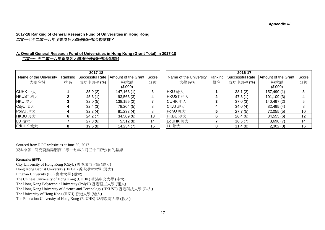*Appendix III*

#### **2017-18 Ranking of General Research Fund of Universities in Hong Kong** 二零一七至二零一八年度香港各大學優配研究金撥款排名

### **A. Overall General Research Fund of Universities in Hong Kong (Grant Total) in 2017-18**

#### 二零一七至二零一八年香港各大學獲得優配研究金**(**總計**)**

|                        |                | 2017-18                   |                     |       |                        |         | 2016-17         |                     |       |
|------------------------|----------------|---------------------------|---------------------|-------|------------------------|---------|-----------------|---------------------|-------|
| Name of the University |                | Ranking   Successful Rate | Amount of the Grant | Score | Name of the University | Ranking | Successful Rate | Amount of the Grant | Score |
| 大學名稱                   | 排名             | 成功申請率(%)                  | 撥款額                 | 分數    | 大學名稱                   | 排名      | 成功申請率(%)        | 撥款額                 | 分數    |
|                        |                |                           | (\$'000)            |       |                        |         |                 | (\$'000)            |       |
| $C$ UHK $#$ $\pm$      |                | 35.9(2)                   | 147,163(1)          | 3     | HKU 港大                 |         | 38.1(2)         | 157,490 (1)         | 3     |
| HKUST 科大               | $\overline{2}$ | 45.3(1)                   | 93,563(3)           |       | HKUST 科大               |         | 47.3(1)         | 101, 109(3)         | 4     |
| HKU 港大                 | 3              | 32.0(5)                   | 138, 155(2)         |       | $C$ UHK $#$ $\pm$      |         | 37.0(3)         | 140,497 (2)         |       |
| CityU 城大               |                | 32.4(3)                   | 78,204 (5)          | 8     | CityU 城大               |         | 34.0(4)         | 82,495 (4)          | 8     |
| PolyU 理大               |                | 32.3(4)                   | 81,233(4)           | 8     | PolyU 理大               |         | 27.7(5)         | 72,055(5)           | 10    |
| HKBU 浸大                | 6              | 24.2(7)                   | 34,509(6)           | 13    | HKBU 浸大                | 6       | 26.4(6)         | 34,555(6)           | 12    |
| LU 嶺大                  |                | 27.3(6)                   | 5,512(8)            | 14    | EdUHK 教大               |         | 16.5(7)         | 8,698(7)            | 14    |
| EdUHK 教大               | 8              | 19.5(8)                   | 14,234(7)           | 15    | LU 嶺大                  | 8       | 11.4(8)         | 2,302(8)            | 16    |

|                   |         | 2017-18         |                     |       |                                  |    | 2016-17         |                     |       |
|-------------------|---------|-----------------|---------------------|-------|----------------------------------|----|-----------------|---------------------|-------|
| of the University | Ranking | Successful Rate | Amount of the Grant | Score | Name of the University   Ranking |    | Successful Rate | Amount of the Grant | Score |
| 大學名稱              | 排名      | 成功申請率(%)        | 撥款額                 | 分數    | 大學名稱                             | 排名 | 成功申請率(%)        | 撥款額                 | 分數    |
|                   |         |                 | (\$'000)            |       |                                  |    |                 | (\$'000)            |       |
| 下大                |         | 35.9(2)         | 147,163(1)          | 3     | HKU 港大                           |    | 38.1(2)         | 157,490 (1)         | 3     |
| 科大                | 2       | 45.3(1)         | 93,563(3)           | 4     | HKUST 科大                         |    | 47.3(1)         | 101, 109(3)         | 4     |
|                   |         | 32.0(5)         | 138,155 (2)         |       | $C$ UHK $#$ $\pm$                |    | 37.0(3)         | 140,497 (2)         | 5     |
| 汏                 |         | 32.4(3)         | 78,204 (5)          | 8     | CityU 城大                         |    | 34.0(4)         | 82,495 (4)          | 8     |
| 一大                |         | 32.3(4)         | 81,233 (4)          | 8     | PolyU 理大                         |    | 27.7(5)         | 72,055(5)           | 10    |
| 麸大                | 6       | 24.2(7)         | 34,509(6)           | 13    | HKBU 浸大                          |    | 26.4(6)         | 34,555(6)           | 12    |
|                   |         | 27.3(6)         | 5,512(8)            | 14    | EdUHK 教大                         |    | 16.5(7)         | 8,698(7)            | 14    |
| 教大                | 8       | 19.5(8)         | 14,234(7)           | 15    | LU 嶺大                            |    | 11.4(8)         | 2,302(8)            | 16    |

Sourced from RGC website as at June 30, 2017 資料來源 : 研究資助局網頁二零一七年六月三十日所公佈的數據

#### **Remarks** 備註**:**

City University of Hong Kong (CityU) 香港城市大學 (城大) Hong Kong Baptist University (HKBU) 香港浸會大學 (浸大) Lingnan University (LU) 嶺南大學 (嶺大) The Chinese University of Hong Kong (CUHK) 香港中文大學 (中大) The Hong Kong Polytechnic University (PolyU) 香港理工大學 (理大) The Hong Kong University of Science and Technology (HKUST) 香港科技大學 (科大) The University of Hong Kong (HKU) 香港大學 (港大) The Education University of Hong Kong (EdUHK) 香港教育大學 (教大)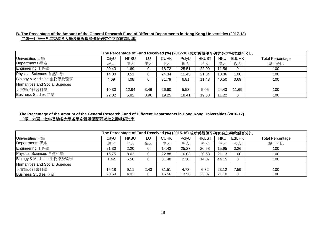#### **B. The Precentage of the Amount of the General Research Fund of Different Departments in Hong Kong Universities (2017-18)** 二零一七至一八年香港各大學各學系獲得優配研究金之撥款額比率

|                                |       | The Percentage of Fund Received (%) (2017-18) 成功獲得優配研究金之撥款額百分比 |      |             |       |              |            |           |                         |
|--------------------------------|-------|----------------------------------------------------------------|------|-------------|-------|--------------|------------|-----------|-------------------------|
| Universities 大學                | CityU | <b>HKBU</b>                                                    | LU   | <b>CUHK</b> | PolyU | <b>HKUST</b> | <b>HKU</b> | $ $ EdUHK | <b>Total Percentage</b> |
| Departments 學系                 | 城大    | 浸大                                                             | 嶺大   | 中大          | 理大    | 科大           | 港大         | 教大        | 總百分比                    |
| Engineering 工程學                | 20.43 | 1.69                                                           | 0    | 18.72       | 25.51 | 22.09        | 11.56      |           | 100                     |
| Physical Sciences 自然科學         | 14.00 | 8.51                                                           | 0    | 24.34       | 11.45 | 21.84        | 18.86      | 1.00      | 100                     |
| Biology & Medicine 生物學及醫學      | 4.69  | 4.08                                                           | 0    | 31.79       | 6.81  | 11.43        | 40.50      | 0.69      | 100                     |
| Humanities and Social Sciences |       |                                                                |      |             |       |              |            |           |                         |
| 人文學及社會科學                       | 10.30 | 12.94                                                          | 3.46 | 26.60       | 5.53  | 5.05         | 24.43      | 11.69     | 100                     |
| Business Studies 商學            | 22.02 | 5.82                                                           | 3.96 | 19.25       | 18.41 | 19.33        | 11.22      |           | 100                     |

#### **The Precentage of the Amount of the General Research Fund of Different Departments in Hong Kong Universities (2016-17)** 二零一六至一七年香港各大學各學系獲得優配研究金之撥款額比率

|                                |       | The Percentage of Fund Received (%) (2015-16) 成功獲得優配研究金之撥款額百分比 |          |       |       |              |            |               |                         |
|--------------------------------|-------|----------------------------------------------------------------|----------|-------|-------|--------------|------------|---------------|-------------------------|
| Universities 大學                | CityU | <b>HKBU</b>                                                    | LU       | CUHK  | PolyU | <b>HKUST</b> | <b>HKU</b> | <b>EdUHKI</b> | <b>Total Percentage</b> |
| Departments 學系                 | 城大    | 浸大                                                             | 嶺大       | 中大    | 理大    | 科大           | 港大         | 教大            | 總百分比                    |
| Engineering 工程學                | 21.30 | 2.20                                                           | 0        | 14.43 | 25.27 | 20.58        | 15.95      | 0.26          | 100                     |
| Physical Sciences 自然科學         | 15.75 | 8.62                                                           | 0        | 22.88 | 10.03 | 20.58        | 21.13      | .00           | 100                     |
| Biology & Medicine 生物學及醫學      | 1.42  | 6.58                                                           | 0        | 31.48 | 2.30  | 14.07        | 44.15      |               | 100                     |
| Humanities and Social Sciences |       |                                                                |          |       |       |              |            |               |                         |
| 人文學及社會科學                       | 15.18 | 9.11                                                           | 2.43     | 31.51 | 4.73  | 6.32         | 23.12      | 7.59          | 100                     |
| Business Studies 商學            | 20.69 | 4.02                                                           | $\Omega$ | 15.56 | 13.56 | 25.07        | 21.10      |               | 100                     |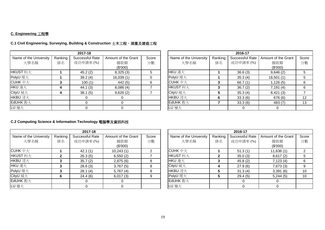#### **C. Engineering** 工程學

|                        |         | 2017-18         |                     |       |                        |         | 2016-17         |                     |                   |
|------------------------|---------|-----------------|---------------------|-------|------------------------|---------|-----------------|---------------------|-------------------|
| Name of the University | Ranking | Successful Rate | Amount of the Grant | Score | Name of the University | Ranking | Successful Rate | Amount of the Grant | Score             |
| 大學名稱                   | 排名      | 成功申請率(%)        | 撥款額                 | 分數    | 大學名稱                   | 排名      | 成功申請率(%)        | 撥款額                 | 分數                |
|                        |         |                 | (\$'000)            |       |                        |         |                 | (\$'000)            |                   |
| HKUST 科大               |         | 45.2(2)         | 8,325(3)            | 5.    | HKU 港大                 |         | 36.6(3)         | 9,646(2)            |                   |
| PolyU 理大               |         | 39.2(4)         | 16,039(1)           |       | PolyU 理大               |         | 35.3(4)         | 18,501(1)           |                   |
| CUHK $\#$ $\pm$        |         | 100(1)          | 442 (5)             | 6     | CUHK $\#$ $\pm$        |         | 66.7 $(1)$      | 1,126(5)            |                   |
| HKU 港大                 | 4       | 44.1(3)         | 8,086(4)            |       | HKUST 科大               |         | 36.7(2)         | 7,191(4)            | 6                 |
| CityU 城大               | 4       | 38.1(5)         | 9,626(2)            |       | CityU 城大               |         | 35.3(4)         | 8,421(3)            |                   |
| HKBU 浸大                |         |                 |                     |       | HKBU 浸大                | 6       | 33.3(6)         | 676 (6)             | $12 \overline{ }$ |
| EdUHK 教大               |         |                 |                     |       | EdUHK 教大               |         | 33.3(6)         | 483 (7)             | 13                |
| LU 嶺大                  |         |                 |                     |       | LU 嶺大                  |         |                 |                     |                   |

#### **C.1 Civil Engineering, Surveying, Building & Construction** 土木工程、測量及建造工程

|                   |         | 2017-18         |                     |       |                        |         | 2016-17         |                     |       |
|-------------------|---------|-----------------|---------------------|-------|------------------------|---------|-----------------|---------------------|-------|
| of the University | Ranking | Successful Rate | Amount of the Grant | Score | Name of the University | Ranking | Successful Rate | Amount of the Grant | Score |
| 大學名稱              | 排名      | 成功申請率(%)        | 撥款額                 | 分數    | 大學名稱                   | 排名      | 成功申請率(%)        | 撥款額                 | 分數    |
|                   |         |                 | (\$'000)            |       |                        |         |                 | (\$'000)            |       |
| 科大                |         | 45.2(2)         | 8,325(3)            | 5.    | HKU 港大                 |         | 36.6(3)         | 9,646(2)            |       |
| 一大                |         | 39.2(4)         | 16,039(1)           |       | PolyU 理大               |         | 35.3(4)         | 18,501(1)           |       |
| 中大                |         | 100(1)          | 442 (5)             |       | $C$ UHK $#$ $\pm$      | 3       | 66.7(1)         | 1,126(5)            | 6     |
|                   |         | 44.1(3)         | 8,086(4)            |       | HKUST 科大               | 3       | 36.7(2)         | 7,191(4)            | -6    |
|                   |         | 38.1(5)         | 9,626(2)            |       | CityU 城大               | 5       | 35.3(4)         | 8,421(3)            |       |
| 表大                |         |                 |                     |       | HKBU 浸大                | 6       | 33.3(6)         | 676 (6)             | 12    |
| 教大                |         |                 |                     |       | EdUHK 教大               |         | 33.3(6)         | 483 (7)             | 13    |
|                   |         |                 |                     |       | LU 嶺大                  |         |                 |                     |       |

#### **C.2 Computing Science & Information Technology** 電腦學及資訊科技

|                        |         | 2017-18         |                     |       |                        |         | 2016-17         |                     |       |
|------------------------|---------|-----------------|---------------------|-------|------------------------|---------|-----------------|---------------------|-------|
| Name of the University | Ranking | Successful Rate | Amount of the Grant | Score | Name of the University | Ranking | Successful Rate | Amount of the Grant | Score |
| 大學名稱                   | 排名      | 成功申請率(%)        | 撥款額                 | 分數    | 大學名稱                   | 排名      | 成功申請率(%)        | 撥款額                 | 分數    |
|                        |         |                 | (\$'000)            |       |                        |         |                 | (\$'000)            |       |
| CUHK 中大                |         | 42.1(1)         | 10,243(1)           |       | CUHK $\#$ $\pm$        |         | 51.3(1)         | 11,636(1)           |       |
| HKUST 科大               | 2       | 26.3(5)         | 6,550(2)            |       | HKUST 科大               |         | 35.0(3)         | 8,617(2)            |       |
| HKBU 浸大                | 3       | 35.7(2)         | 2,875(6)            | 8     | HKU 港大                 | 3       | 45.8(2)         | 7,123(4)            | 6     |
| HKU 港大                 | 3       | 28.6(3)         | 3,767(5)            | 8     | CityU 城大               | 4       | 27.9(6)         | 7,673(3)            |       |
| PolyU 理大               | 3       | 28.1(4)         | 5,767(4)            | 8     | HKBU 浸大                | 5       | 31.3(4)         | 3,391(6)            | 10    |
| CityU 城大               | 6       | 24.4(6)         | 6,017(3)            | 9     | PolyU 理大               | 5       | 29.4(5)         | 5,244(5)            | 10    |
| EdUHK 教大               |         |                 |                     |       | EdUHK 教大               |         |                 |                     |       |
| LU 嶺大                  |         |                 |                     |       | LU 嶺大                  |         |                 |                     |       |

|                   |              | 2017-18         |                     |       |                        |         | 2016-17         |                     |       |
|-------------------|--------------|-----------------|---------------------|-------|------------------------|---------|-----------------|---------------------|-------|
| of the University | Ranking      | Successful Rate | Amount of the Grant | Score | Name of the University | Ranking | Successful Rate | Amount of the Grant | Score |
| 大學名稱              | 排名           | 成功申請率(%)        | 撥款額                 | 分數    | 大學名稱                   | 排名      | 成功申請率(%)        | 撥款額                 | 分數    |
|                   |              |                 | (\$'000)            |       |                        |         |                 | (\$'000)            |       |
| 日大                |              | 42.1(1)         | 10,243(1)           | 2     | CUHK $\#$ $\pm$        |         | 51.3(1)         | 11,636(1)           | 2     |
| 科大                | $\mathbf{2}$ | 26.3(5)         | 6,550(2)            |       | HKUST 科大               |         | 35.0(3)         | 8,617(2)            | 5     |
| 麦大                | 3            | 35.7(2)         | 2,875(6)            | 8     | HKU 港大                 | 3       | 45.8(2)         | 7,123(4)            | 6     |
|                   | 3            | 28.6(3)         | 3,767(5)            | 8     | CityU 城大               | 4       | 27.9(6)         | 7,673 (3)           | 9     |
| 肚大                | 3            | 28.1(4)         | 5,767(4)            | 8     | HKBU 浸大                | 5       | 31.3(4)         | 3,391(6)            | 10    |
|                   | 6            | 24.4(6)         | 6,017(3)            | 9     | PolyU 理大               | 5       | 29.4(5)         | 5,244(5)            | 10    |
| 教大                |              |                 |                     |       | EdUHK 教大               |         |                 |                     |       |
|                   |              |                 |                     |       | LU 嶺大                  |         |                 |                     |       |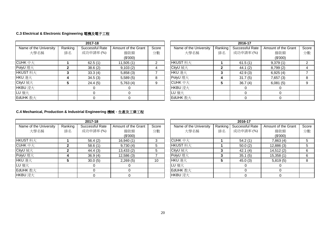#### **C.3 Electrical & Electronic Engineering** 電機及電子工程

|                        |         | 2017-18         |                     |       |                        |         | 2016-17         |                     |       |
|------------------------|---------|-----------------|---------------------|-------|------------------------|---------|-----------------|---------------------|-------|
| Name of the University | Ranking | Successful Rate | Amount of the Grant | Score | Name of the University | Ranking | Successful Rate | Amount of the Grant | Score |
| 大學名稱                   | 排名      | 成功申請率(%)        | 撥款額                 | 分數    | 大學名稱                   | 排名      | 成功申請率(%)        | 撥款額                 | 分數    |
|                        |         |                 | (\$'000)            |       |                        |         |                 | (\$'000)            |       |
| CUHK 中大                |         | 62.5(1)         | 11,505(1)           | 2     | HKUST 科大               |         | 61.5(1)         | 9,379(1)            |       |
| PolyU 理大               |         | 38.6(2)         | 9,103(2)            |       | CityU 城大               | 2       | 44.1(2)         | 8,799(2)            |       |
| HKUST 科大               |         | 33.3(4)         | 5,858(3)            |       | HKU 港大                 | 3       | 42.9(3)         | 6,925(4)            |       |
| HKU 港大                 |         | 34.5(3)         | 5,589(5)            | 8     | PolyU 理大               | 4       | 31.7(5)         | 7,657(3)            |       |
| CityU 城大               |         | 24.4(5)         | 5,763(4)            |       | $C$ UHK $#$ $\pm$      | 5       | 36.7(4)         | 6,081(5)            |       |
| HKBU 浸大                |         |                 |                     |       | HKBU 浸大                |         |                 |                     |       |
| LU 嶺大                  |         |                 |                     |       | LU 嶺大                  |         |                 |                     |       |
| EdUHK 教大               |         |                 |                     |       | EdUHK 教大               |         |                 |                     |       |

|                   |         | 2017-18         |                     |       |                        |         | 2016-17         |                     |       |
|-------------------|---------|-----------------|---------------------|-------|------------------------|---------|-----------------|---------------------|-------|
| of the University | Ranking | Successful Rate | Amount of the Grant | Score | Name of the University | Ranking | Successful Rate | Amount of the Grant | Score |
| 大學名稱              | 排名      | 成功申請率(%)        | 撥款額                 | 分數    | 大學名稱                   | 排名      | 成功申請率(%)        | 撥款額                 | 分數    |
|                   |         |                 | (\$'000)            |       |                        |         |                 | (\$'000)            |       |
| 1大                |         | 62.5(1)         | 11,505(1)           |       | HKUST 科大               |         | 61.5(1)         | 9,379(1)            |       |
|                   |         | 38.6(2)         | 9,103(2)            |       | CityU 城大               |         | 44.1(2)         | 8,799(2)            |       |
| 科大                |         | 33.3(4)         | 5,858(3)            |       | HKU 港大                 |         | 42.9(3)         | 6,925(4)            |       |
|                   |         | 34.5(3)         | 5,589(5)            | 8     | PolyU 理大               | 4       | 31.7(5)         | 7,657 (3)           |       |
|                   |         | 24.4(5)         | 5,763(4)            |       | CUHK 中大                | 5       | 36.7(4)         | 6,081(5)            | 9     |
| $\pm$             |         | 0               |                     |       | HKBU 浸大                |         |                 |                     |       |
|                   |         | 0               |                     |       | LU 嶺大                  |         |                 | $\Omega$            |       |
| 教大                |         |                 |                     |       | EdUHK 教大               |         |                 |                     |       |

#### **C.4 Mechanical, Production & Industrial Engineering** 機械、生產及工業工程

|                        |         | 2017-18         |                     |       |                |                        |         | 2016-17         |                     |       |
|------------------------|---------|-----------------|---------------------|-------|----------------|------------------------|---------|-----------------|---------------------|-------|
| Name of the University | Ranking | Successful Rate | Amount of the Grant | Score |                | Name of the University | Ranking | Successful Rate | Amount of the Grant | Score |
| 大學名稱                   | 排名      | 成功申請率(%)        | 撥款額                 | 分數    |                | 大學名稱                   | 排名      | 成功申請率(%)        | 撥款額                 | 分數    |
|                        |         |                 | (\$'000)            |       |                |                        |         |                 | (\$'000)            |       |
| HKUST 科大               |         | 56.4(2)         | 16,940(1)           | 3     | CUHK $#$ $\pm$ |                        |         | 54.2(1)         | 7,863(4)            |       |
| CUHK 中大                |         | 58.6(1)         | 9,730(4)            | 5     | HKUST 科大       |                        |         | 50.0(2)         | 12,886(3)           |       |
| CityU 城大               |         | 44.4 (3)        | 13,433(2)           | 5     | CityU 城大       |                        |         | 42.1(4)         | 14,512(2)           | 6     |
| PolyU 理大               |         | 36.9(4)         | 12,586(3)           |       | PolyU 理大       |                        |         | 35.1(5)         | 15,358(1)           | 6     |
| HKU 港大                 | 5       | 30.0(5)         | 2,269(5)            | 10    | HKU 港大         |                        | 5       | 45.0(3)         | 5,819(5)            | 8     |
| LU 嶺大                  |         |                 |                     |       | LU 嶺大          |                        |         |                 |                     |       |
| EdUHK 教大               |         |                 |                     |       | EdUHK 教大       |                        |         |                 |                     |       |
| HKBU 浸大                |         |                 |                     |       | HKBU 浸大        |                        |         |                 |                     |       |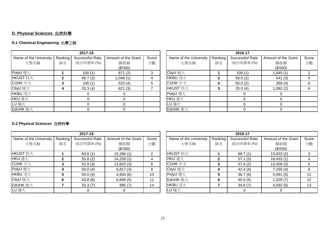## **D. Physical Sciences** 自然科學

### **D.1 Chemical Engineering** 化學工程

|                        |         | 2017-18         |                     |       |                         |         | 2016-17         |                     |     |
|------------------------|---------|-----------------|---------------------|-------|-------------------------|---------|-----------------|---------------------|-----|
| Name of the University | Ranking | Successful Rate | Amount of the Grant | Score | Name of the University  | Ranking | Successful Rate | Amount of the Grant | Scc |
| 大學名稱                   | 排名      | 成功申請率(%)        | 撥款額                 | 分數    | 大學名稱                    | 排名      | 成功申請率(%)        | 撥款額                 | 分   |
|                        |         |                 | (\$'000)            |       |                         |         |                 | (\$'000)            |     |
| PolyU 理大               |         | 100(1)          | 871(2)              | 3     | CityU 城大                |         | 100(1)          | 1,845 (1)           |     |
| HKUST 科大               |         | 66.7(3)         | 1,046(1)            | 4     | HKBU 浸大                 | 2       | 50.0(2)         | 541(3)              |     |
| CUHK $\#$ $\pm$        |         | 100(1)          | 523(4)              |       | CUHK $\uparrow \pm \pm$ |         | 50.0(2)         | 359(4)              |     |
| CityU 城大               |         | 33.3(4)         | 821(3)              |       | HKUST 科大                | 3       | 25.0(4)         | 1,082 (2)           |     |
| HKBU 浸大                |         |                 |                     |       | PolyU 理大                |         |                 |                     |     |
| HKU 港大                 |         |                 |                     |       | HKU 港大                  |         |                 |                     |     |
| LU 嶺大                  |         |                 |                     |       | LU 嶺大                   |         |                 |                     |     |
| EdUHK 教大               |         |                 |                     |       | EdUHK 教大                |         |                 |                     |     |

|                        |         | 2017-18         |                     |       |                        |         | 2016-17         |                     |       |
|------------------------|---------|-----------------|---------------------|-------|------------------------|---------|-----------------|---------------------|-------|
| Name of the University | Ranking | Successful Rate | Amount of the Grant | Score | Name of the University | Ranking | Successful Rate | Amount of the Grant | Score |
| 大學名稱                   | 排名      | 成功申請率(%)        | 撥款額                 | 分數    | 大學名稱                   | 排名      | 成功申請率(%)        | 撥款額                 | 分數    |
|                        |         |                 | (\$'000)            |       |                        |         |                 | (\$'000)            |       |
| olyU 理大                |         | 100(1)          | 871(2)              | 3     | CityU 城大               |         | 100(1)          | 1,845 (1)           |       |
| IKUST 科大               |         | 66.7(3)         | 1,046 (1)           |       | HKBU 浸大                |         | 50.0(2)         | 541(3)              |       |
| CUHK 中大                |         | 100(1)          | 523(4)              |       | CUHK 中大                |         | 50.0(2)         | 359(4)              | 6     |
| City∪ 城大               |         | 33.3(4)         | 821(3)              |       | HKUST 科大               | 3       | 25.0(4)         | (2) 082.            | 6     |
| <b>IKBU</b> 浸大         |         |                 |                     |       | PolyU 理大               |         |                 |                     |       |
| <b>IKU 港大</b>          |         |                 |                     |       | HKU 港大                 |         |                 |                     |       |
| U 嶺大                   |         |                 |                     |       | LU 嶺大                  |         |                 |                     |       |
| :dUHK 教大               |         |                 |                     |       | EdUHK 教大               |         |                 |                     |       |

#### **D.2 Physical Sciences** 自然科學

|                        |         | 2017-18         |                     |       |                        |         | 2016-17         |                     |     |
|------------------------|---------|-----------------|---------------------|-------|------------------------|---------|-----------------|---------------------|-----|
| Name of the University | Ranking | Successful Rate | Amount of the Grant | Score | Name of the University | Ranking | Successful Rate | Amount of the Grant | Sco |
| 大學名稱                   | 排名      | 成功申請率(%)        | 撥款額                 | 分數    | 大學名稱                   | 排名      | 成功申請率(%)        | 撥款額                 | 分數  |
|                        |         |                 | (\$'000)            |       |                        |         |                 | (\$'000)            |     |
| HKUST 科大               |         | 63.6(1)         | 15,266(1)           | ⌒     | HKUST 科大               |         | 66.7(1)         | 13,833(2)           |     |
| HKU 港大                 | 2       | 55.8(2)         | 14,259(2)           | 4     | HKU 港大                 |         | 57.1(3)         | 16,433(1)           |     |
| CUHK 中大                |         | 52.9(3)         | 13,815(3)           | 6     | CUHK $#$ $\pm$         |         | 57.4(2)         | 13,409(3)           | 5   |
| PolyU 理大               | 4       | 50.0(4)         | 6,817(4)            | 8     | CityU 城大               |         | 42.4(4)         | 7,250(4)            | 8   |
| HKBU 浸大                | 5       | 50.0(4)         | 4,934(6)            | 10    | PolyU 理大               | 5.      | 36.7(6)         | 5,991(5)            | 11  |
| CityU 城大               | 6       | 43.8(6)         | 6,699(5)            | 11    | EdUHK 教大               | 6       | 40.0(5)         | 1,029(7)            | 12  |
| EdUHK 教大               |         | 33.3(7)         | 995(7)              | 14    | HKBU 浸大                |         | 34.8(7)         | 4,592(6)            | 13  |
| LU 嶺大                  |         |                 |                     |       | LU 嶺大                  |         |                 |                     |     |

| 2017-18                |         |                 |                     |       |                        |         | 2016-17         |                     |         |
|------------------------|---------|-----------------|---------------------|-------|------------------------|---------|-----------------|---------------------|---------|
| Name of the University | Ranking | Successful Rate | Amount of the Grant | Score | Name of the University | Ranking | Successful Rate | Amount of the Grant | Score   |
| 大學名稱                   | 排名      | 成功申請率(%)        | 撥款額                 | 分數    | 大學名稱                   | 排名      | 成功申請率(%)        | 撥款額                 | 分數      |
|                        |         |                 | (\$'000)            |       |                        |         |                 | (\$'000)            |         |
| IKUST 科大               |         | 63.6(1)         | 15,266(1)           |       | HKUST 科大               |         | 66.7 $(1)$      | 13,833(2)           |         |
| IKU 港大                 |         | 55.8(2)         | 14,259(2)           |       | HKU 港大                 | 2       | 57.1(3)         | 16,433(1)           |         |
| CUHK 中大                |         | 52.9(3)         | 13,815(3)           | 6     | CUHK 中大                | 3       | 57.4(2)         | 13,409(3)           |         |
| olyU 理大                | 4       | 50.0(4)         | 6,817(4)            | 8     | CityU 城大               | 4       | 42.4(4)         | 7,250(4)            |         |
| <b>IKBU</b> 浸大         |         | 50.0(4)         | 4,934(6)            | 10    | PolyU 理大               | 5       | 36.7(6)         | 5,991(5)            |         |
| City∪ 城大               | 6       | 43.8(6)         | 6,699(5)            | 11    | EdUHK 教大               | 6       | 40.0(5)         | 1,029(7)            | $12 \,$ |
| :dUHK 教大               |         | 33.3(7)         | 995(7)              | 14    | HKBU 浸大                |         | 34.8(7)         | 4,592(6)            | 13      |
| U 嶺大                   |         | 0               |                     |       | LU 嶺大                  |         |                 |                     |         |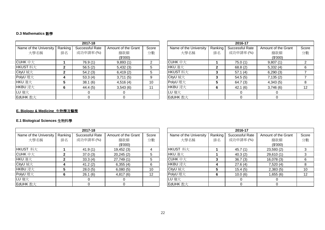#### **D.3 Mathematics** 數學

|                        |              | 2017-18         |                     |       |                        |         | 2016-17         |                     |     |
|------------------------|--------------|-----------------|---------------------|-------|------------------------|---------|-----------------|---------------------|-----|
| Name of the University | Ranking      | Successful Rate | Amount of the Grant | Score | Name of the University | Ranking | Successful Rate | Amount of the Grant | Sco |
| 大學名稱                   | 排名           | 成功申請率(%)        | 撥款額                 | 分數    | 大學名稱                   | 排名      | 成功申請率(%)        | 撥款額                 | 分數  |
|                        |              |                 | (S'000)             |       |                        |         |                 | (\$'000)            |     |
| CUHK 中大                |              | 76.9 (1)        | 9,893(1)            | 2     | $C$ UHK $#$ $\pm$      |         | 75.0(1)         | 9,807(1)            |     |
| HKUST 科大               | 2            | 56.5(2)         | 5,432(3)            | 5     | HKU 港大                 | 2       | 68.8(2)         | 5,332(4)            | 6   |
| CityU 城大               | $\mathbf{2}$ | 54.2(3)         | 6,419(2)            | 5.    | HKUST 科大               |         | 57.1(4)         | 6,290(3)            |     |
| PolyU 理大               | 4            | 53.3(4)         | 3,711(5)            | 9     | CityU 城大               | 3       | 54.5(5)         | 7,135(2)            |     |
| HKU 港大                 | 5            | 38.1(6)         | 4,516(4)            | 10    | PolyU 理大               | 5       | 64.7(3)         | 4,343(5)            | 8   |
| HKBU 浸大                | 6            | 44.4(5)         | 3,543(6)            |       | HKBU 浸大                | 6       | 42.1(6)         | 3,746(6)            | 12  |
| LU 嶺大                  |              |                 |                     |       | LU 嶺大                  |         |                 |                     |     |
| EdUHK 教大               |              |                 |                     |       | EdUHK 教大               |         |                 |                     |     |

|                                  |    | 2017-18         |                     |       |                        |         | 2016-17         |                     |       |
|----------------------------------|----|-----------------|---------------------|-------|------------------------|---------|-----------------|---------------------|-------|
| Name of the University   Ranking |    | Successful Rate | Amount of the Grant | Score | Name of the University | Ranking | Successful Rate | Amount of the Grant | Score |
| 大學名稱                             | 排名 | 成功申請率(%)        | 撥款額                 | 分數    | 大學名稱                   | 排名      | 成功申請率(%)        | 撥款額                 | 分數    |
|                                  |    |                 | (\$'000)            |       |                        |         |                 | (\$'000)            |       |
| CUHK 中大                          |    | 76.9(1)         | 9,893(1)            | 2     | CUHK 中大                |         | 75.0(1)         | 9,807(1)            |       |
| KUST 科大                          |    | 56.5(2)         | 5,432(3)            | 5     | HKU 港大                 |         | 68.8(2)         | 5,332(4)            | 6     |
| ityU 城大                          |    | 54.2(3)         | 6,419(2)            | 5     | HKUST 科大               |         | 57.1(4)         | 6,290(3)            |       |
| olyU 理大                          |    | 53.3(4)         | 3,711(5)            | 9     | CityU 城大               |         | 54.5(5)         | 7,135(2)            |       |
| KU 港大                            |    | 38.1(6)         | 4,516(4)            | 10    | PolyU 理大               |         | 64.7(3)         | 4,343 (5)           | 8     |
| <b>IKBU</b> 浸大                   | 6  | 44.4 (5)        | 3,543(6)            | 11    | HKBU 浸大                | 6       | 42.1(6)         | 3,746(6)            | 12    |
| U 嶺大                             |    |                 | 0                   |       | LU 嶺大                  |         | $\Omega$        |                     |       |
| idUHK 教大                         |    |                 |                     |       | EdUHK 教大               |         |                 |                     |       |

#### **E. Biology & Medicine** 生物學及醫學

#### **E.1 Biological Sciences** 生物科學

|                        |         | 2017-18         |                     |                   |                        |         | 2016-17         |                     |     |
|------------------------|---------|-----------------|---------------------|-------------------|------------------------|---------|-----------------|---------------------|-----|
| Name of the University | Ranking | Successful Rate | Amount of the Grant | Score             | Name of the University | Ranking | Successful Rate | Amount of the Grant | Sco |
| 大學名稱                   | 排名      | 成功申請率(%)        | 撥款額                 | 分數                | 大學名稱                   | 排名      | 成功申請率(%)        | 撥款額                 | 分數  |
|                        |         |                 | (\$'000)            |                   |                        |         |                 | (\$'000)            |     |
| HKUST 科大               |         | 41.9(1)         | 19,452 (3)          | 4                 | HKUST 科大               |         | 45.7(1)         | 23,593(2)           |     |
| CUHK 中大                | 2       | 37.0(3)         | 20,245(2)           | 5                 | HKU 港大                 |         | 40.3(2)         | 29,610(1)           |     |
| HKU 港大                 | 2       | 33.3(4)         | 27,749(1)           | 5                 | $C$ UHK $#$ $\pm$      |         | 36.7(3)         | 16,078(3)           | 6   |
| CityU 城大               | 4       | 41.2(2)         | 6,355(4)            | 6                 | HKBU 浸大                |         | 27.6(4)         | 7,520(4)            | 8   |
| HKBU 浸大                | 5       | 28.0(5)         | 6,080(5)            | 10                | CityU 城大               |         | 15.4(5)         | 2,383(5)            | 10  |
| PolyU 理大               | 6       | 26.1(6)         | 4,817(6)            | $12 \overline{ }$ | PolyU 理大               | 6       | 10.0(6)         | 1,655(6)            | 12  |
| LU 嶺大                  |         | $\Omega$        |                     |                   | LU 嶺大                  |         |                 |                     |     |
| EdUHK 教大               |         |                 |                     |                   | EdUHK 教大               |         |                 |                     |     |

|                        |         | 2017-18         |                     |                   |                        |         | 2016-17         |                     |                   |
|------------------------|---------|-----------------|---------------------|-------------------|------------------------|---------|-----------------|---------------------|-------------------|
| Name of the University | Ranking | Successful Rate | Amount of the Grant | Score             | Name of the University | Ranking | Successful Rate | Amount of the Grant | Score             |
| 大學名稱                   | 排名      | 成功申請率(%)        | 撥款額                 | 分數                | 大學名稱                   | 排名      | 成功申請率(%)        | 撥款額                 | 分數                |
|                        |         |                 | (\$'000)            |                   |                        |         |                 | (\$'000)            |                   |
| <b>IKUST</b> 科大        |         | 41.9(1)         | 19,452(3)           | 4                 | HKUST 科大               |         | 45.7(1)         | 23,593(2)           |                   |
| CUHK 中大                |         | 37.0(3)         | 20,245(2)           | 5                 | HKU 港大                 |         | 40.3(2)         | 29,610(1)           | 3                 |
| <b>IKU</b> 港大          |         | 33.3(4)         | 27,749 (1)          | 5                 | CUHK $\#$ $\pm$        | 3       | 36.7(3)         | 16,078(3)           | 6                 |
| ityU 城大                | 4       | 41.2(2)         | 6,355(4)            | 6                 | HKBU 浸大                | 4       | 27.6(4)         | 7,520(4)            | 8                 |
| <b>IKBU</b> 浸大         |         | 28.0(5)         | 6,080(5)            | 10                | CityU 城大               | 5       | 15.4(5)         | 2,383(5)            | 10                |
| olyU 理大                |         | 26.1(6)         | 4,817(6)            | $12 \overline{ }$ | PolyU 理大               | 6       | 10.0(6)         | 1,655 (6)           | $12 \overline{ }$ |
| U 嶺大                   |         |                 |                     |                   | LU 嶺大                  |         | 0               |                     |                   |
| dUHK 教大                |         |                 |                     |                   | EdUHK 教大               |         |                 |                     |                   |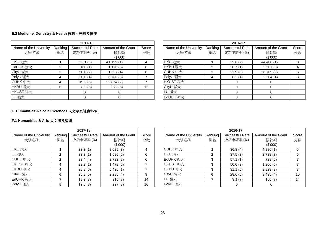#### **E.2 Medicine, Dentistry & Health** 醫科、牙科及健康

|                        |              | 2017-18         |                     |                   |                        |         | 2016-17         |                     |       |
|------------------------|--------------|-----------------|---------------------|-------------------|------------------------|---------|-----------------|---------------------|-------|
| Name of the University | Ranking      | Successful Rate | Amount of the Grant | Score             | Name of the University | Ranking | Successful Rate | Amount of the Grant | Score |
| 大學名稱                   | 排名           | 成功申請率(%)        | 撥款額                 | 分數                | 大學名稱                   | 排名      | 成功申請率(%)        | 撥款額                 | 分數    |
|                        |              |                 | (\$'000)            |                   |                        |         |                 | (\$'000)            |       |
| HKU 港大                 |              | 22.1(3)         | 41,199(1)           |                   | HKU 港大                 |         | 25.6(2)         | 44,408 (1)          |       |
| EdUHK 教大               | $\mathbf{2}$ | 100(1)          | 1,170 (5)           | 6                 | HKBU 浸大                | 2       | 26.7(1)         | 3,507(3)            |       |
| CityU 城大               | $\mathbf{2}$ | 50.0(2)         | 1,637 (4)           | 6                 | CUHK $#$ $\pm$         | 3       | 22.9(3)         | 36,709 (2)          |       |
| PolyU 理大               | 4            | 20.0(4)         | 6,780(3)            |                   | PolyU 理大               |         | 8.3(4)          | 2,204(4)            |       |
| CUHK $#$ $\pm$         | 4            | 19.3(5)         | 33,874(2)           |                   | HKUST 科大               |         |                 |                     |       |
| HKBU 浸大                | 6            | 8.3(6)          | 872 (6)             | $12 \overline{ }$ | CityU 城大               |         |                 |                     |       |
| HKUST 科大               |              |                 |                     |                   | LU 嶺大                  |         |                 |                     |       |
| LU 嶺大                  |              |                 |                     |                   | EdUHK 教大               |         |                 |                     |       |

|                   |         | 2017-18         |                     |       |                        |         | 2016-17         |                     |       |
|-------------------|---------|-----------------|---------------------|-------|------------------------|---------|-----------------|---------------------|-------|
| of the University | Ranking | Successful Rate | Amount of the Grant | Score | Name of the University | Ranking | Successful Rate | Amount of the Grant | Score |
| 大學名稱              | 排名      | 成功申請率(%)        | 撥款額                 | 分數    | 大學名稱                   | 排名      | 成功申請率(%)        | 撥款額                 | 分數    |
|                   |         |                 | (\$'000)            |       |                        |         |                 | (\$'000)            |       |
|                   |         | 22.1(3)         | 41,199(1)           | 4     | HKU 港大                 |         | 25.6(2)         | 44,408 (1)          | 3     |
| 教大                |         | 100(1)          | ,170(5)             | 6     | HKBU 浸大                | 2       | 26.7(1)         | 3,507(3)            |       |
|                   |         | 50.0(2)         | ,637(4)             | 6     | CUHK $\#$ $\pm$        |         | 22.9(3)         | 36,709(2)           |       |
| 一大                |         | 20.0(4)         | 6,780(3)            |       | PolyU 理大               |         | 8.3(4)          | 2,204(4)            | 8     |
| 巨大                |         | 19.3(5)         | 33,874(2)           |       | HKUST 科大               |         |                 |                     |       |
| 表大                |         | 8.3(6)          | 872 (6)             | 12    | CityU 城大               |         |                 |                     |       |
| 科大                |         |                 |                     |       | LU 嶺大                  |         |                 |                     |       |
|                   |         |                 |                     |       | EdUHK 教大               |         |                 |                     |       |

#### **F. Humanities & Social Sciences** 人文學及社會科學

#### **F.1 Humanities & Arts** 人文學及藝術

|                        |              | 2017-18         |                     |       |                        |         | 2016-17         |                     |       |
|------------------------|--------------|-----------------|---------------------|-------|------------------------|---------|-----------------|---------------------|-------|
| Name of the University | Ranking      | Successful Rate | Amount of the Grant | Score | Name of the University | Ranking | Successful Rate | Amount of the Grant | Score |
| 大學名稱                   | 排名           | 成功申請率(%)        | 撥款額                 | 分數    | 大學名稱                   | 排名      | 成功申請率(%)        | 撥款額                 | 分數    |
|                        |              |                 | (\$'000)            |       |                        |         |                 | (\$'000)            |       |
| HKU 港大                 |              | 33.3(1)         | 2,629(3)            | 4     | CUHK $#$ $\pm$         |         | 36.8(4)         | 4,886(1)            |       |
| LU 嶺大                  | $\mathbf{2}$ | 33.3(1)         | 1,580 (5)           | 6     | HKU 港大                 | 2       | 37.5(3)         | 3,738(3)            |       |
| CUHK 中大                | $\mathbf{2}$ | 32.4(4)         | 3,733(2)            | 6     | EdUHK 教大               | 3       | 57.1(1)         | 738 (6)             |       |
| HKUST 科大               |              | 33.3(1)         | 1,479(6)            |       | HKUST 科大               | 3       | 50.0(2)         | 1,366 (5)           |       |
| HKBU 浸大                |              | 20.8(6)         | 6,420(1)            |       | HKBU 浸大                | 3       | 31.1(5)         | 3,829(2)            |       |
| CityU 城大               | 6            | 25.8(5)         | 2,285(4)            | 9     | CityU 城大               | 6       | 28.6(6)         | 3,495(4)            | 10    |
| EdUHK 教大               |              | 18.2(7)         | 910(7)              | 14    | LU 嶺大                  |         | 9.1(7)          | 160(7)              | 14    |
| PolyU 理大               | 8            | 12.5(8)         | 227(8)              | 16    | PolyU 理大               |         |                 |                     |       |

|                   |         | 2017-18         |                     |       |                        |         | 2016-17         |                     |       |
|-------------------|---------|-----------------|---------------------|-------|------------------------|---------|-----------------|---------------------|-------|
| of the University | Ranking | Successful Rate | Amount of the Grant | Score | Name of the University | Ranking | Successful Rate | Amount of the Grant | Score |
| 大學名稱              | 排名      | 成功申請率(%)        | 撥款額                 | 分數    | 大學名稱                   | 排名      | 成功申請率(%)        | 撥款額                 | 分數    |
|                   |         |                 | (\$'000)            |       |                        |         |                 | (\$'000)            |       |
|                   |         | 33.3(1)         | 2,629(3)            | 4     | CUHK 中大                |         | 36.8(4)         | 4,886(1)            |       |
|                   |         | 33.3(1)         | (5) 580.ا           | 6     | HKU 港大                 | 2       | 37.5(3)         | 3,738(3)            | 6     |
| 中大                |         | 32.4(4)         | 3,733(2)            | 6     | EdUHK 教大               |         | 57.1(1)         | 738 (6)             |       |
| 科大                |         | 33.3(1)         | (6) 479.            |       | HKUST 科大               |         | 50.0(2)         | 1,366 (5)           |       |
| 麦大                |         | 20.8(6)         | 6,420(1)            |       | HKBU 浸大                |         | 31.1(5)         | 3,829(2)            |       |
|                   |         | 25.8(5)         | 2,285(4)            | 9     | CityU 城大               |         | 28.6(6)         | 3,495(4)            | 10    |
| 教大                |         | 18.2(7)         | 910(7)              | 14    | LU 嶺大                  |         | 9.1(7)          | 160(7)              | 14    |
| 一大                |         | 12.5(8)         | 227(8)              | 16    | PolyU 理大               |         |                 |                     |       |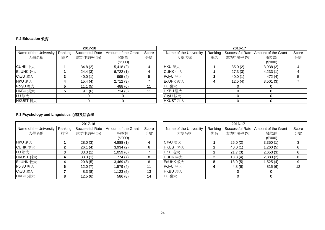#### **F.2 Education** 教育

|                        |         | 2017-18         |                     |       |                        |         | 2016-17         |                     |     |
|------------------------|---------|-----------------|---------------------|-------|------------------------|---------|-----------------|---------------------|-----|
| Name of the University | Ranking | Successful Rate | Amount of the Grant | Score | Name of the University | Ranking | Successful Rate | Amount of the Grant | Scc |
| 大學名稱                   | 排名      | 成功申請率(%)        | 撥款額                 | 分數    | 大學名稱                   | 排名      | 成功申請率(%)        | 撥款額                 | 分   |
|                        |         |                 | (\$'000)            |       |                        |         |                 | (\$'000)            |     |
| $C$ UHK $\#$ $\pm$     |         | 34.8(2)         | 5,418(2)            | 4     | HKU 港大                 |         | 35.0(2)         | 3,938(2)            |     |
| EdUHK 教大               |         | 24.4(3)         | 6,722(1)            | 4     | CUHK $#$ $\pm$         |         | 27.3(3)         | 4,233(1)            |     |
| CityU 城大               |         | 40.0(1)         | 995(4)              | 5     | PolyU 理大               | 3       | 40.0(1)         | 472 (4)             |     |
| HKU 港大                 |         | 15.4(4)         | 2,712(3)            |       | EdUHK 教大               | 4       | 12.5(4)         | 3,501(3)            |     |
| PolyU 理大               |         | 11.1(5)         | 488 (6)             | 11    | LU 嶺大                  |         |                 |                     |     |
| HKBU 浸大                |         | 9.1(6)          | 714(5)              | 11    | HKBU 浸大                |         |                 |                     |     |
| LU 嶺大                  |         |                 |                     |       | CityU 城大               |         |                 |                     |     |
| HKUST 科大               |         |                 |                     |       | HKUST 科大               |         |                 |                     |     |

| 2017-18                |         |                 |                     |       |  |                        |         | 2016-17  |                                       |       |
|------------------------|---------|-----------------|---------------------|-------|--|------------------------|---------|----------|---------------------------------------|-------|
| Name of the University | Ranking | Successful Rate | Amount of the Grant | Score |  | Name of the University | Ranking |          | Successful Rate   Amount of the Grant | Score |
| 大學名稱                   | 排名      | 成功申請率(%)        | 撥款額                 | 分數    |  | 大學名稱                   | 排名      | 成功申請率(%) | 撥款額                                   | 分數    |
|                        |         |                 | (\$'000)            |       |  |                        |         |          | (\$'000)                              |       |
| CUHK 中大                |         | 34.8(2)         | 5,418(2)            |       |  | HKU 港大                 |         | 35.0(2)  | 3,938(2)                              |       |
| EdUHK 教大               |         | 24.4(3)         | 6,722(1)            | 4     |  | $C$ UHK $#$ $\pm$      |         | 27.3(3)  | 4,233(1)                              |       |
| CityU 城大               |         | 40.0(1)         | 995(4)              | 5.    |  | PolyU 理大               |         | 40.0(1)  | 472 (4)                               | 5     |
| <b>IKU</b> 港大          |         | 15.4(4)         | 2,712(3)            |       |  | EdUHK 教大               |         | 12.5(4)  | 3,501(3)                              |       |
| olyU 理大                |         | 11.1(5)         | 488 (6)             | 11    |  | LU 嶺大                  |         |          |                                       |       |
| <b>IKBU</b> 浸大         |         | 9.1(6)          | 714(5)              | 11    |  | HKBU 浸大                |         |          |                                       |       |
| U 嶺大                   |         |                 |                     |       |  | CityU 城大               |         |          |                                       |       |
| <b>IKUST</b> 科大        |         |                 |                     |       |  | HKUST 科大               |         |          |                                       |       |

### **F.3 Psychology and Linguistics** 心理及語言學

| 2017-18                |         |                 |                     |       |  |                        |         | 2016-17         |                     |     |
|------------------------|---------|-----------------|---------------------|-------|--|------------------------|---------|-----------------|---------------------|-----|
| Name of the University | Ranking | Successful Rate | Amount of the Grant | Score |  | Name of the University | Ranking | Successful Rate | Amount of the Grant | Sco |
| 大學名稱                   | 排名      | 成功申請率(%)        | 撥款額                 | 分數    |  | 大學名稱                   | 排名      | 成功申請率(%)        | 撥款額                 | 分婁  |
|                        |         |                 | (\$'000)            |       |  |                        |         |                 | (\$'000)            |     |
| HKU 港大                 |         | 28.0(3)         | 4,888(1)            |       |  | CityU 城大               |         | 25.0(2)         | 3,350(1)            |     |
| CUHK $\#$ $\pm$        |         | 26.1(4)         | 3,934(2)            | 6     |  | HKUST 科大               |         | 40.0(1)         | (5) 260.            | 6   |
| LU 嶺大                  | 3       | 33.3(1)         | 1,059 (6)           |       |  | HKU 港大                 |         | 21.7(3)         | 2,653(3)            | 6   |
| HKUST 科大               | 4       | 33.3(1)         | 774(7)              | 8     |  | $C$ UHK $#$ $\pm$      | 2       | 13.3(4)         | 2,880(2)            | 6   |
| EdUHK 教大               | 4       | 20.8(5)         | 3,469(3)            | 8     |  | EdUHK 教大               |         | 13.0(5)         | ,525 (4)            | 9   |
| PolyU 理大               | 6       | 12.0(7)         | 1,579 (4)           | 11    |  | PolyU 理大               | 6       | 4.8(6)          | 815 (6)             | 12  |
| CityU 城大               |         | 8.3(8)          | 1,123(5)            | 13    |  | HKBU 浸大                |         |                 |                     |     |
| HKBU 浸大                | 8       | 12.5(6)         | 586 (8)             | 14    |  | LU 嶺大                  |         |                 |                     |     |

|                        |         | 2017-18         |                     |       | 2016-17                |                |          |                                       |       |  |  |
|------------------------|---------|-----------------|---------------------|-------|------------------------|----------------|----------|---------------------------------------|-------|--|--|
| Name of the University | Ranking | Successful Rate | Amount of the Grant | Score | Name of the University | Ranking        |          | Successful Rate   Amount of the Grant | Score |  |  |
| 大學名稱                   | 排名      | 成功申請率(%)        | 撥款額                 | 分數    | 大學名稱                   | 排名             | 成功申請率(%) | 撥款額                                   | 分數    |  |  |
|                        |         |                 | (\$'000)            |       |                        |                |          | (\$'000)                              |       |  |  |
| <b>IKU</b> 港大          |         | 28.0(3)         | 4,888(1)            | 4     | CityU 城大               |                | 25.0(2)  | 3,350(1)                              |       |  |  |
| CUHK 中大                |         | 26.1(4)         | 3,934(2)            | 6     | HKUST 科大               |                | 40.0(1)  | 1,260 (5)                             | 6     |  |  |
| U 嶺大                   |         | 33.3(1)         | 1,059 (6)           |       | HKU 港大                 | $\overline{2}$ | 21.7(3)  | 2,653(3)                              | 6     |  |  |
| <b>IKUST</b> 科大        | 4       | 33.3(1)         | 774(7)              | 8     | CUHK $\#$ $\pm$        | 2              | 13.3(4)  | 2,880(2)                              | 6     |  |  |
| EdUHK 教大               | 4       | 20.8(5)         | 3,469(3)            | 8     | EdUHK 教大               | 5              | 13.0(5)  | 1,525 (4)                             |       |  |  |
| olyU 理大                | 6       | 12.0(7)         | 1,579 (4)           | 11    | PolyU 理大               | 6              | 4.8(6)   | 815 (6)                               | 12    |  |  |
| CityU 城大               |         | 8.3(8)          | 1,123(5)            | 13    | HKBU 浸大                |                |          |                                       |       |  |  |
| <b>IKBU</b> 浸大         | 8       | 12.5(6)         | 586 (8)             | 14    | LU 嶺大                  |                |          |                                       |       |  |  |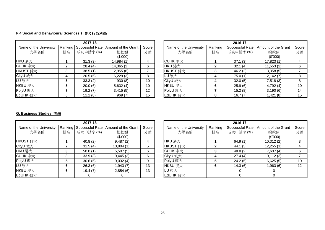## **F.4 Social and Behavioural Sciences** 社會及行為科學

|                        |    | 2017-18                 |                     |                 | 2016-17                |         |                 |                     |     |  |  |
|------------------------|----|-------------------------|---------------------|-----------------|------------------------|---------|-----------------|---------------------|-----|--|--|
| Name of the University |    | Ranking Successful Rate | Amount of the Grant | Score           | Name of the University | Ranking | Successful Rate | Amount of the Grant | Sco |  |  |
| 大學名稱                   | 排名 | 成功申請率(%)                | 撥款額                 | 分數              | 大學名稱                   | 排名      | 成功申請率(%)        | 撥款額                 | 分數  |  |  |
|                        |    |                         | (\$'000)            |                 |                        |         |                 | (\$'000)            |     |  |  |
| HKU 港大                 |    | 31.3(3)                 | 14,984 (1)          |                 | CUHK $#$ $\pm$         |         | 37.1(3)         | 17,823(1)           | 4   |  |  |
| $C$ UHK $#$ $\pm$      |    | 28.4(4)                 | 14,365(2)           | 6               | HKU 港大                 | 2       | 32.1(4)         | 11,553(2)           | 6   |  |  |
| HKUST 科大               | 3  | 38.5(1)                 | 2,955(6)            |                 | HKUST 科大               | 3       | 46.2(2)         | 3,358(5)            |     |  |  |
| CityU 城大               | 4  | 20.5(5)                 | 6,229(3)            | 8               | LU 嶺大                  | 4       | 75.0(1)         | 2,142(7)            | 8   |  |  |
| LU 嶺大                  | 5  | 33.3(2)                 | 930(8)              | 10              | CityU 城大               | 4       | 32.0(5)         | 7,518(3)            | 8   |  |  |
| HKBU 浸大                |    | 20.0(6)                 | 5,632(4)            | 10 <sup>°</sup> | HKBU 浸大                | 6       | 25.9(6)         | 4,792(4)            | 10  |  |  |
| PolyU 理大               |    | 19.2(7)                 | 3,415(5)            | 12              | PolyU 理大               |         | 15.2(8)         | 3,190(6)            | 14  |  |  |
| EdUHK 教大               | 8  | 11.1(8)                 | 969(7)              | 15              | EdUHK 教大               | 8       | 16.7(7)         | 1,421(8)            | 15  |  |  |

|                        |         | 2017-18         |                     |       | 2016-17                |         |                 |                     |       |  |
|------------------------|---------|-----------------|---------------------|-------|------------------------|---------|-----------------|---------------------|-------|--|
| Name of the University | Ranking | Successful Rate | Amount of the Grant | Score | Name of the University | Ranking | Successful Rate | Amount of the Grant | Score |  |
| 大學名稱                   | 排名      | 成功申請率(%)        | 撥款額                 | 分數    | 大學名稱                   | 排名      | 成功申請率(%)        | 撥款額                 | 分數    |  |
|                        |         |                 | (\$'000)            |       |                        |         |                 | (\$'000)            |       |  |
| KU 港大                  |         | 31.3(3)         | 14,984 (1)          | 4     | CUHK $\#$ $\pm$        |         | 37.1(3)         | 17,823(1)           |       |  |
| UHK 中大                 |         | 28.4(4)         | 14,365 (2)          | 6     | HKU 港大                 |         | 32.1(4)         | 11,553(2)           | 6     |  |
| KUST 科大                |         | 38.5(1)         | 2,955(6)            |       | HKUST 科大               |         | 46.2(2)         | 3,358(5)            |       |  |
| ityU 城大                |         | 20.5(5)         | 6,229(3)            | 8     | LU 嶺大                  |         | 75.0(1)         | 2,142(7)            | 8     |  |
| U 嶺大                   |         | 33.3(2)         | 930(8)              | 10    | CityU 城大               |         | 32.0(5)         | 7,518(3)            | 8     |  |
| KBU 浸大                 |         | 20.0(6)         | 5,632(4)            | 10    | HKBU 浸大                | 6       | 25.9(6)         | 4,792(4)            | 10    |  |
| olyU 理大                |         | 19.2(7)         | 3,415(5)            | 12    | PolyU 理大               |         | 15.2(8)         | 3,190(6)            | 14    |  |
| dUHK 教大                | 8       | 11.1(8)         | 969(7)              | 15    | EdUHK 教大               | 8       | 16.7(7)         | 1,421(8)            | 15    |  |

#### **G. Business Studies** 商學

|                        |    | 2017-18  |                                               |       | 2016-17                |         |                 |                     |     |  |  |
|------------------------|----|----------|-----------------------------------------------|-------|------------------------|---------|-----------------|---------------------|-----|--|--|
| Name of the University |    |          | Ranking Successful Rate   Amount of the Grant | Score | Name of the University | Ranking | Successful Rate | Amount of the Grant | Sco |  |  |
| 大學名稱                   | 排名 | 成功申請率(%) | 撥款額                                           | 分數    | 大學名稱                   | 排名      | 成功申請率(%)        | 撥款額                 | 分   |  |  |
|                        |    |          | (\$'000)                                      |       |                        |         |                 | (S'000)             |     |  |  |
| HKUST 科大               |    | 40.8(2)  | 9,487(2)                                      | 4     | HKU 港大                 |         | 64.9(1)         | 10,312(2)           |     |  |  |
| CityU 城大               |    | 31.5(4)  | 10,804(1)                                     | 5     | HKUST 科大               | 2       | 44.1(3)         | 12,255(1)           |     |  |  |
| HKU 港大                 |    | 50.0(1)  | 5,507(5)                                      | 6     | $C$ UHK $#$ $\pm$      | 3       | 48.8(2)         | 7,607(4)            | 6   |  |  |
| $C$ UHK $#$ $\pm$      |    | 33.9(3)  | 9,445(3)                                      | 6     | CityU 城大               | 4       | 27.4(4)         | 10,112(3)           |     |  |  |
| PolyU 理大               |    | 30.6(5)  | 9,032(4)                                      | 9     | PolyU 理大               | 5       | 24.2(5)         | 6,625(5)            | 10  |  |  |
| LU 嶺大                  | 6  | 26.3(6)  | 1,943(7)                                      | 13    | HKBU 浸大                | 6       | 14.3(6)         | 1,963(6)            | 12  |  |  |
| HKBU 浸大                | 6  | 19.4(7)  | 2,854(6)                                      | 13    | LU 嶺大                  |         |                 |                     |     |  |  |
| EdUHK 教大               |    |          |                                               |       | EdUHK 教大               |         |                 |                     |     |  |  |

|                        |         | 2017-18         |                     |       |                        |         | 2016-17         |                     |       |
|------------------------|---------|-----------------|---------------------|-------|------------------------|---------|-----------------|---------------------|-------|
| Name of the University | Ranking | Successful Rate | Amount of the Grant | Score | Name of the University | Ranking | Successful Rate | Amount of the Grant | Score |
| 大學名稱                   | 排名      | 成功申請率(%)        | 撥款額                 | 分數    | 大學名稱                   | 排名      | 成功申請率(%)        | 撥款額                 | 分數    |
|                        |         |                 | (\$'000)            |       |                        |         |                 | (\$'000)            |       |
| HKUST 科大               |         | 40.8(2)         | 9,487(2)            | 4     | HKU 港大                 |         | 64.9(1)         | 10,312(2)           | 3     |
| CityU 城大               |         | 31.5(4)         | 10,804(1)           | 5     | HKUST 科大               |         | 44.1(3)         | 12,255(1)           |       |
| HKU 港大                 | 3       | 50.0(1)         | 5,507(5)            | 6     | $C$ UHK $#$ $\pm$      |         | 48.8(2)         | 7,607(4)            | 6     |
| CUHK $\,\pm\pm$        | 3       | 33.9(3)         | 9,445(3)            | 6     | CityU 城大               |         | 27.4(4)         | 10,112(3)           |       |
| PolyU 理大               |         | 30.6(5)         | 9,032(4)            | 9     | PolyU 理大               |         | 24.2(5)         | 6,625(5)            | 10    |
| LU 嶺大                  | 6       | 26.3(6)         | (7) 943.            | 13    | HKBU 浸大                | 6       | 14.3(6)         | 1,963 (6)           | 12    |
| HKBU 浸大                | 6       | 19.4(7)         | 2,854(6)            | 13    | LU 嶺大                  |         |                 | 0                   |       |
| EdUHK 教大               |         |                 |                     |       | EdUHK 教大               |         |                 |                     |       |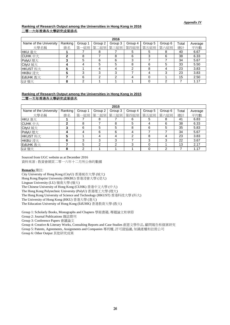#### **Ranking of Research Output among the Universities in Hong Kong in 2016** 二零一六年香港各大學研究成果排名

|                        |         |         |         | 2016           |         |         |           |       |         |
|------------------------|---------|---------|---------|----------------|---------|---------|-----------|-------|---------|
| Name of the University | Ranking | Group 1 | Group 2 | Group 3        | Group 4 | Group 5 | Group 6   | Total | Average |
| 大學名稱                   | 排名      |         |         | 第一組別 第二組別 第三組別 | 第四組別    |         | 第五組別 第六組別 | 總計    | 平均數     |
| HKU 港大                 |         |         | 8       |                | 5       | 5       | 8         | 40    | 6.67    |
| CUHK $\#$ $\pm$        | 2       | 8       |         | 8              | 6       | 3       | 6         | 38    | 6.33    |
| PolyU 理大               | າ       | 5       | 6       | 6              |         |         |           | 34    | 5.67    |
| CityU 城大               |         |         | 5       | 5              | 8       | 6       | 5         | 33    | 5.50    |
| HKUST 科大               | 5       |         | 4       | 4              | ◠       | 8       | 4         | 23    | 3.83    |
| HKBU 浸大                | 5       | 3       | 3       | 3              |         |         | 3         | 23    | 3.83    |
| EdUHK 教大               |         | 6       | າ       | າ              |         | 0       |           | 15    | 2.50    |
| LU 嶺大                  | 8       | ⌒       |         |                |         |         |           |       | 1.17    |

#### **Ranking of Research Output among the Universities in Hong Kong in 2015** 二零一五年香港各大學研究成果排名

|                        |         |         |         | 2015    |                     |         |             |       |         |
|------------------------|---------|---------|---------|---------|---------------------|---------|-------------|-------|---------|
| Name of the University | Ranking | Group 1 | Group 2 | Group 3 | Group 4             | Group 5 | Group 6     | Total | Average |
| 大學名稱                   | 排名      |         |         |         | 第一組別 第二組別 第三組別 第四組別 |         | 第五組別   第六組別 | 總計    | 平均數     |
| HKU 港大                 |         |         | 8       |         |                     | 5       | 8           | 41    | 6.83    |
| $C$ UHK $#$ $\pm$      |         | 8       |         | 8       | 5                   | 4       | 6           | 38    | 6.33    |
| CityU 城大               |         | 6       | 5       | 5       |                     | 6       | 5           | 35    | 5.83    |
| PolyU 理大               | 4       |         | 6       | 6       |                     |         |             | 34    | 5.67    |
| HKUST 科大               |         |         | 4       | 4       |                     | 8       | 4           | 23    | 3.83    |
| HKBU 浸大                | 6       | 3       | 3       | 3       |                     | 3       | 3           | 22    | 3.67    |
| EdUHK 教大               |         | 5       | っ       | 2       | з                   | 0       |             | 13    | 2.17    |
| LU 嶺大                  | 8       | ົ       |         |         |                     | 0       | າ           |       | 1.17    |

Sourced from UGC website as at December 2016 資料來源 : 教資會網頁二零一六年十二月所公佈的數據

#### **Remarks** 備註:

City University of Hong Kong (CityU) 香港城市大學 (城大)

Hong Kong Baptist University (HKBU) 香港浸會大學 (浸大)

Lingnan University (LU) 嶺南大學 (嶺大)

The Chinese University of Hong Kong (CUHK) 香港中文大學 (中大)

The Hong Kong Polytechnic University (PolyU) 香港理工大學 (理大)

The Hong Kong University of Science and Technology (HKUST) 香港科技大學 (科大)

The University of Hong Kong (HKU) 香港大學 (港大)

The Education University of Hong Kong (EdUHK) 香港教育大學 (教大)

Group 1: Scholarly Books, Monographs and Chapters 學術書籍, 專題論文和章節

Group 2: Journal Publications 雜誌期刊

Group 3: Conference Papers 會議論文

Group 4: Creative & Literary Works, Consulting Reports and Case Studies 創意文學作品, 顧問報告和個案研究

Group 5: Patents, Agreements, Assignments and Companies 專利權, 許可證協議, 知識產權和註冊公司

Group 6: Other Output 其他研究成果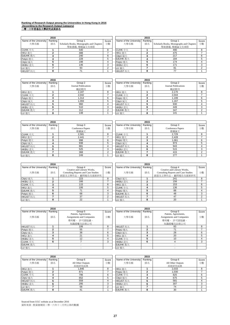# **Ranking of Research Output among the Universities in Hong Kong in 2016 (According to the Research Output Category)** 二零一六年香港各大學研究成果排名

| 二苓一六牛合港谷大学研究成果排名 |
|------------------|
|------------------|

|                        | 2016    |                                          |       |                        | 2015    |                                          |       |
|------------------------|---------|------------------------------------------|-------|------------------------|---------|------------------------------------------|-------|
| Name of the University | Ranking | Group 1                                  | Score | Name of the University | Ranking | Group 1                                  | Score |
| 大學名稱                   | 排名      | Scholarly Books, Monographs and Chapters | 分數    | 大學名稱                   | 排名      | Scholarly Books, Monographs and Chapters | 分數    |
|                        |         | 學術書籍,專題論文及章節                             |       |                        |         | 學術書籍,專題論文及章節                             |       |
| CUHK $\pm \pm$         |         | 540                                      | 8     | CUHK $\pm \pm \pm$     |         | 490                                      |       |
| HKU 港大                 |         | 488                                      |       | HKU 港大                 |         | 475                                      |       |
| EdUHK 教大               |         | 240                                      | հ     | CityU 城大               |         | 217                                      |       |
| PolyU 理大               |         | 228                                      |       | EdUHK 教大               |         | 184                                      |       |
| CityU 城大               |         | 198                                      |       | PolyU 理大               |         | 174                                      |       |
| HKBU 浸大                |         | 146                                      |       | HKBU 浸大                | 6       | 17'                                      |       |
| LU 嶺大                  |         | 93                                       |       | LU 嶺大                  |         | 81                                       |       |
| HKUST 科士               |         |                                          |       | HKUST 科士               | ິ       |                                          |       |

|                        | 20 I O  |                                          |       | 20 I J                 |         |                                          |       |  |  |
|------------------------|---------|------------------------------------------|-------|------------------------|---------|------------------------------------------|-------|--|--|
| Name of the University | Ranking | Group 1                                  | Score | Name of the University | Ranking | Group 1                                  | Score |  |  |
| 大學名稱                   | 排名      | Scholarly Books, Monographs and Chapters | 分數    | 大學名稱                   | 排名      | Scholarly Books, Monographs and Chapters | 分數    |  |  |
|                        |         | 學術書籍,專題論文及章節                             |       |                        |         | 學術書籍,專題論文及章節                             |       |  |  |
|                        |         | 540                                      | 8     | CUHK $\pm \pm \pm$     |         | 490                                      |       |  |  |
| HKU 港大                 |         | 488                                      |       | HKU 港大                 |         | 475                                      |       |  |  |
| EdUHK 教大               |         | 240                                      |       | CityU 城大               |         | 217                                      |       |  |  |
| PolyU 理大               |         | 228                                      |       | EdUHK 教大               |         | 184                                      |       |  |  |
| CityU 城大               |         | 198                                      |       | PolyU 理大               |         | 174                                      |       |  |  |
| HKBU 浸大                | 6       | 146                                      |       | HKBU 浸大                |         | 171                                      |       |  |  |
| LU 嶺大                  |         | 93                                       |       | LU 嶺大                  |         | 81                                       |       |  |  |
| HKUST 科大               | 8       |                                          |       | HKUST 科大               |         | 77                                       |       |  |  |

|                        | 2016    |                      |       |                        | 2015    |                      |            |
|------------------------|---------|----------------------|-------|------------------------|---------|----------------------|------------|
| Name of the University | Ranking | Group 2              | Score | Name of the University | Ranking | Group 2              | <b>Sco</b> |
| 大學名稱                   | 排名      | Journal Publications | 分數    | 大學名稱                   | 排名      | Journal Publications | 分          |
|                        |         | 雜誌期刊                 |       |                        |         | 雜誌期刊                 |            |
| HKU 港大                 |         | 2,187                | 8     | HKU 港大                 |         | 2,170                |            |
| CUHK $\pm +$           |         | 2.042                |       | CUHK $\pm +$           | ີ       | 2.044                |            |
| PolyU 理大               |         | 1,314                | 6     | PolyU 理大               |         | .199                 |            |
| CityU 城大               |         | 1.093                | 5     | CityU 城大               |         | .167                 |            |
| HKUST 科大               |         | 960                  | 4     | HKUST 科大               | 5       | 930                  |            |
| HKBU 浸大                |         | 510                  | 3     | HKBU 浸大                | 6       | 449                  |            |
| EdUHK 教大               |         | 312                  | ົ     | EdUHK 教大               |         | 347                  |            |
| LU 嶺大                  |         | 148                  |       | LU 嶺大                  | 8       | 141                  |            |

|                        | 2016    |                             |       |                        | 2015    |                      |        |
|------------------------|---------|-----------------------------|-------|------------------------|---------|----------------------|--------|
| Name of the University | Ranking | Group 2                     | Score | Name of the University | Ranking | Group 2              | Score  |
| 大學名稱                   | 排名      | <b>Journal Publications</b> | 分數    | 大學名稱                   | 排名      | Journal Publications | 分數     |
|                        |         | 雜誌期刊                        |       |                        |         | 雜誌期刊                 |        |
| HKU 港大                 |         | 2.187                       | 8     | HKU 港大                 |         | 2.170                |        |
|                        | ົ       | 2.042                       |       | CUHK $\pm\pm$          | ◠       | 2.044                |        |
| PolyU 理大               | 3       | 1.314                       | 6     | PolyU 理大               |         | 1.199                | 6      |
| CityU 城大               | д       | 1.093                       |       | CityU 城大               |         | 1.167                |        |
| HKUST 科大               |         | 960                         |       | HKUST 科大               |         | 930                  |        |
| HKBU 浸大                |         | 510                         | 3     | HKBU 浸大                | 6       | 449                  |        |
| EdUHK 教大               |         | 312                         |       | EdUHK 教大               |         | 347                  | $\sim$ |
| LU 嶺大                  | 8       | 148                         |       | LU 嶺大                  | 8       | 141                  |        |

|                        |         | 2015              |       |  |                        |         |                   |            |
|------------------------|---------|-------------------|-------|--|------------------------|---------|-------------------|------------|
| Name of the University | Ranking | Group 3           | Score |  | Name of the University | Ranking | Group 3           | <b>Sco</b> |
| 大學名稱                   | 排名      | Conference Papers | 分數    |  | 大學名稱                   | 排名      | Conference Papers | 分          |
|                        |         | 會議論文              |       |  |                        |         | 會議論文              |            |
| CUHK $\pm +$           |         | 2.581             |       |  | CUHK $\pm \pm \pm$     |         | 2,729             |            |
| HKU 港大                 |         | 2.441             |       |  | HKU 港大                 |         | 2.428             |            |
| PolyU 理大               |         | 998               | 6     |  | PolyU 理大               | ີ       | 1,061             |            |
| CityU 城大               |         | 938               | 5     |  | CityU 城大               |         | 973               |            |
| HKUST 科大               |         | 881               |       |  | HKUST 科大               |         | 943               |            |
| HKBU 浸大                | 6       | 525               |       |  | HKBU 浸大                |         | 515               |            |
| EdUHK 教大               |         | 368               |       |  | EdUHK 教大               |         | 415               |            |
| LU 嶺大                  | 8       | 249               |       |  | LU 嶺大                  | 8       | 277               |            |

|                        |         | 2015              |       |                        |         |                   |       |
|------------------------|---------|-------------------|-------|------------------------|---------|-------------------|-------|
| Name of the University | Ranking | Group 3           | Score | Name of the University | Ranking | Group 3           | Score |
| 大學名稱                   | 排名      | Conference Papers | 分數    | 大學名稱                   | 排名      | Conference Papers | 分數    |
|                        |         | 會議論文              |       |                        |         | 會議論文              |       |
| CUHK $\pm \pm$         |         | 2.581             |       | CUHK $\pm +$           |         | 2.729             | 8     |
| HKU 港大                 | ◠       | 2.441             |       | HKU 港大                 |         | 2.428             |       |
| PolyU 理大               | 3       | 998               | 6     | PolyU 理大               |         | 1.061             |       |
| CityU 城大               |         | 938               |       | CityU 城大               |         | 973               |       |
| HKUST 科大               | 5       | 881               |       | HKUST 科大               |         | 943               |       |
| HKBU 浸大                |         | 525               |       | HKBU 浸大                | 6       | 515               |       |
| EdUHK 教大               |         | 368               |       | EdUHK 教大               |         | 415               |       |
| LU 嶺大                  | 8       | 249               |       | LU 嶺大                  | ິ       | 277               |       |

|                        | 2016    |                                                          | 2015  |                        |         |                                                                 |            |  |
|------------------------|---------|----------------------------------------------------------|-------|------------------------|---------|-----------------------------------------------------------------|------------|--|
| Name of the University | Ranking | Group 4<br>Creative and Literary Works,                  | Score | Name of the University | Ranking | Group 4<br>Creative and Literary Works,                         | <b>Sco</b> |  |
| 大學名稱                   | 排名      | Consulting Reports and Case Studies<br>創意及文學作品、顧問報告及個案研究 | 分數    | 大學名稱                   | 排名      | <b>Consulting Reports and Case Studies</b><br>創意及文學作品、顧問報告及個案研究 | 分          |  |
| CityU 城大               |         | 223                                                      | 8     | CityU 城大               |         | 241                                                             |            |  |
| HKBU 浸大                |         | 166                                                      |       | HKBU 浸大                |         | 156                                                             |            |  |
| CUHK $\pm +$           |         | 115                                                      | 6     | HKU 港大                 |         | 153                                                             |            |  |
| HKU 港大                 |         | 106                                                      | 5     | CUHK $\pm\pm$          |         | 136                                                             |            |  |
| EdUHK 教大               |         |                                                          | 4     | PolyU 理大               |         | 88                                                              |            |  |
| PolyU 理大               |         | 68                                                       | 3     | EdUHK 教大               | 6       | 48                                                              |            |  |
| HKUST 科大               |         | 37                                                       | 2     | HKUST 科大               |         | 47                                                              |            |  |
| LU 嶺大                  |         | 22                                                       |       | LU 嶺大                  | Я       | 20                                                              |            |  |

|                        |         |                                     | 2015  |                        |         |                                            |       |
|------------------------|---------|-------------------------------------|-------|------------------------|---------|--------------------------------------------|-------|
| Name of the University | Ranking | Group 4                             | Score | Name of the University | Ranking | Group 4                                    | Score |
|                        |         | Creative and Literary Works,        |       |                        |         | Creative and Literary Works,               |       |
| 大學名稱                   | 排名      | Consulting Reports and Case Studies | 分數    | 大學名稱                   | 排名      | <b>Consulting Reports and Case Studies</b> | 分數    |
|                        |         | 創意及文學作品、顧問報告及個案研究                   |       |                        |         | 創意及文學作品、顧問報告及個案研究                          |       |
| CityU 城大               |         | 223                                 | 8     | CityU 城大               |         | 241                                        |       |
| HKBU 浸大                |         | 166                                 |       | HKBU 浸大                | ົ       | 156                                        |       |
| CUHK 中大                |         | 115                                 | 6     | HKU 港大                 | 3       | 153                                        |       |
| HKU 港大                 |         | 106                                 | 5     | CUHK $\pm +$           |         | 136                                        |       |
| EdUHK 教大               |         | 71                                  | 4     | PolyU 理大               | 5       | 88                                         |       |
| PolyU 理大               |         | 68                                  | 3     | EdUHK 教大               | 6       | 48                                         |       |
| HKUST 科大               |         | 37                                  |       | HKUST 科大               |         | 47                                         |       |
| <b>U</b> 嶺大            |         | 22                                  |       | LU 嶺大                  | 8       | 20                                         |       |

|                        | 2016    |                                 | 2015  |                        |          |                                 |       |
|------------------------|---------|---------------------------------|-------|------------------------|----------|---------------------------------|-------|
| Name of the University | Ranking | Group 5<br>Patents, Agreements, | Score | Name of the University | Ranking  | Group 5<br>Patents, Agreements, | Score |
| 大學名稱                   | 排名      | Assignments and Companies       | 分數    | 大學名稱                   | 排名       | Assignments and Companies       | 分數    |
|                        |         | 專利權、 許可證協議、<br>知識產權及註冊公司        |       |                        |          | 專利權、 許可證協議、<br>知識產權及註冊公司        |       |
| HKUST 科大               |         | 106                             | 8     | HKUST 科大               |          | 83                              | 8     |
| PolyU 理大               | ົ       | 55                              |       | PolyU 理大               | <u>ົ</u> | 71                              |       |
| CityU 城大               |         | 38                              | 6     | CityU 城大               | 3        | 28                              | 6     |
| HKU 港大                 |         | 21                              | 5     | HKU 港大                 | 4        | 20                              |       |
| HKBU 浸大                |         | 12                              | 4     | CUHK $\pm \pm \pm$     | 5        | 10                              |       |
| CUHK $\pm \pm$         | 6       |                                 | 3     | HKBU 浸大                | 6        |                                 | 3     |
| EdUHK 教大               |         |                                 |       | EdUHK 教大               |          |                                 |       |
| LU 嶺大                  |         |                                 |       | LU 嶺大                  |          |                                 |       |

|                        | 20 I J  |                                  |       |
|------------------------|---------|----------------------------------|-------|
| Name of the University | Ranking | Group 5<br>Patents, Agreements,  | Score |
| 大學名稱                   | 排名      | <b>Assignments and Companies</b> | 分數    |
|                        |         | 專利權、 許可證協議、                      |       |
|                        |         | 知識產權及註冊公司                        |       |
| HKUST 科大               |         | 83                               | 8     |
| PolyU 理大               | 2       | 71                               |       |
| CityU 城大               | 3       | 28                               | 6     |
| HKU 港大                 | 4       | 20                               | 5     |
| CUHK $\pm \pm$         | 5       | 10                               | 4     |
| HKBU 浸大                | 6       | 4                                | 3     |
| EdUHK 教大               |         |                                  |       |
| LU 嶺大                  |         |                                  |       |

|                        | 2016    |                             | 2015  |                        |         |                             |       |
|------------------------|---------|-----------------------------|-------|------------------------|---------|-----------------------------|-------|
| Name of the University | Ranking | Group 6                     | Score | Name of the University | Ranking | Group 6                     | Score |
| 大學名稱                   | 排名      | All Other Outputs<br>其他研究成果 | 分數    | 大學名稱                   | 排名      | All Other Outputs<br>其他研究成果 | 分數    |
| HKU 港大                 |         | 1,846                       | 8     | HKU 港大                 |         | 2,033                       | 8     |
| PolyU 理大               | ົ       | 871                         |       | PolyU 理大               | ົ       | 1,030                       |       |
| CUHK $\pm \pm$         |         | 796                         | 6     | CUHK $\pm\pm$          | ◠       | 825                         |       |
| CityU 城大               |         | 652                         |       | CityU 城大               | 4       | 675                         |       |
| HKUST 科大               |         | 559                         |       | HKUST 科大               |         | 581                         |       |
| HKBU 浸大                | 6       | 295                         | 3     | HKBU 浸大                | 6       | 307                         |       |
| LU 嶺大                  |         | 58                          |       | LU 嶺大                  |         | 74                          |       |
| EdUHK 教大               | Ω       | 41                          |       | EdUHK 教大               | 8       | 30                          |       |

|                  |                |                        | 2015    |                   |       |
|------------------|----------------|------------------------|---------|-------------------|-------|
| Group 6          | Score          | Name of the University | Ranking | Group 6           | Score |
| Il Other Outputs | 分數             | 大學名稱                   | 排名      | All Other Outputs | 分數    |
| 其他研究成果           |                |                        |         | 其他研究成果            |       |
| 1,846            | 8              | HKU 港大                 |         | 2,033             | 8     |
| 871              |                | PolyU 理大               |         | 1.030             |       |
| 796              | 6              | $C$ UHK $#$ $#$        |         | 825               | 6     |
| 652              | 5              | CityU 城大               |         | 675               | 5     |
| 559              | 4              | HKUST 科大               |         | 581               |       |
| 295              | 3              | HKBU 浸大                | 6       | 307               | 3     |
| 58               | $\overline{2}$ | LU 嶺大                  |         | 74                | 2     |
| 41               |                | EdUHK 教大               | 8       | 30                |       |

Sourced from UGC website as at December 2016 資料來源 : 教資會網頁二零一六年十二月所公佈的數據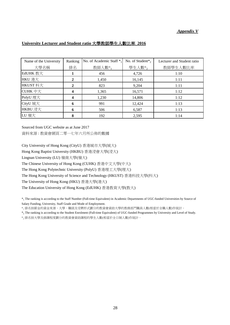#### *Appendix V*

| University Lecturer and Student ratio 大學教師學生人數比率 2016 |  |
|-------------------------------------------------------|--|
|-------------------------------------------------------|--|

| Name of the University | Ranking | No. of Academic Staff $*_1$ | No. of Student $*_2$ | Lecturer and Student ratio |
|------------------------|---------|-----------------------------|----------------------|----------------------------|
| 大學名稱                   | 排名      | 教師人數*1                      | 學生人數*2               | 教師學生人數比率                   |
| EdUHK 教大               |         | 456                         | 4,726                | 1:10                       |
| HKU 港大                 |         | 1,450                       | 16,145               | 1:11                       |
| HKUST 科大               | 2       | 823                         | 9,204                | 1:11                       |
| CUHK 中大                |         | 1,365                       | 16,571               | 1:12                       |
| PolyU 理大               |         | 1,230                       | 14,806               | 1:12                       |
| CityU 城大               | 6       | 991                         | 12,424               | 1:13                       |
| HKBU 浸大                | 6       | 506                         | 6,587                | 1:13                       |
| LU 嶺大                  | 8       | 192                         | 2,595                | 1:14                       |

Sourced from UGC website as at June 2017 資料來源 : 教資會網頁二零一七年六月所公佈的數據

City University of Hong Kong (CityU) 香港城市大學(城大)

Hong Kong Baptist University (HKBU) 香港浸會大學(浸大)

Lingnan University (LU) 嶺南大學(嶺大)

The Chinese University of Hong Kong (CUHK) 香港中文大學(中大)

The Hong Kong Polytechnic University (PolyU) 香港理工大學(理大)

The Hong Kong University of Science and Technology (HKUST) 香港科技大學(科大)

The University of Hong Kong (HKU) 香港大學(港大)

The Education University of Hong Kong (EdUHK) 香港教育大學(教大)

 $*_1$  The ranking is according to the Staff Number (Full-time Equivalent) in Academic Departments of UGC-funded Universities by Source of Salary Funding, University, Staff Grade and Mode of Employment.

\*1 排名按薪金的資金來源、大學、職級及受聘形式劃分的教資會資助大學的教務部門職員人數(相當於全職人數)作統計。

 $*_2$  The ranking is according to the Student Enrolment (Full-time Equivalent) of UGC-funded Programmes by University and Level of Study.

\*2 排名按大學及修課程度劃分的教資會資助課程的學生人數(相當於全日制人數)作統計。